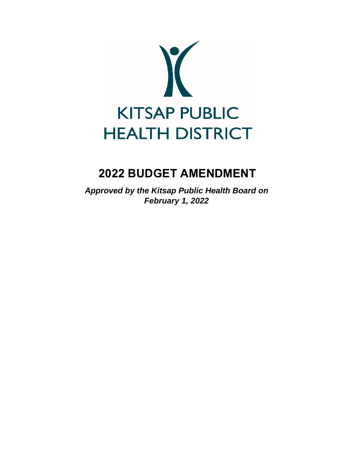

# **2022 BUDGET AMENDMENT**

*Approved by the Kitsap Public Health Board on February 1, 2022*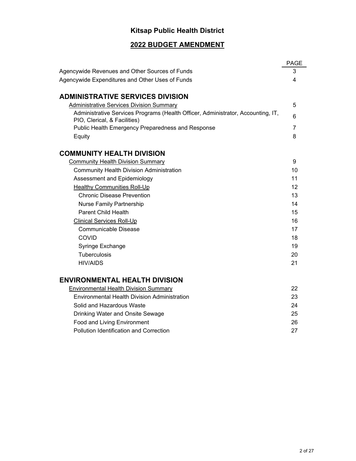# **Kitsap Public Health District**

### **2022 BUDGET AMENDMENT**

|                                                                                                                  | <b>PAGE</b>    |
|------------------------------------------------------------------------------------------------------------------|----------------|
| Agencywide Revenues and Other Sources of Funds                                                                   | 3              |
| Agencywide Expenditures and Other Uses of Funds                                                                  | 4              |
|                                                                                                                  |                |
| <b>ADMINISTRATIVE SERVICES DIVISION</b>                                                                          |                |
| <b>Administrative Services Division Summary</b>                                                                  | 5              |
| Administrative Services Programs (Health Officer, Administrator, Accounting, IT,<br>PIO, Clerical, & Facilities) | 6              |
| Public Health Emergency Preparedness and Response                                                                | $\overline{7}$ |
| Equity                                                                                                           | 8              |
| <b>COMMUNITY HEALTH DIVISION</b>                                                                                 |                |
| <b>Community Health Division Summary</b>                                                                         | 9              |
| <b>Community Health Division Administration</b>                                                                  | 10             |
| Assessment and Epidemiology                                                                                      | 11             |
| <b>Healthy Communities Roll-Up</b>                                                                               | 12             |
| <b>Chronic Disease Prevention</b>                                                                                | 13             |
| <b>Nurse Family Partnership</b>                                                                                  | 14             |
| <b>Parent Child Health</b>                                                                                       | 15             |
| <b>Clinical Services Roll-Up</b>                                                                                 | 16             |
| <b>Communicable Disease</b>                                                                                      | 17             |
| COVID                                                                                                            | 18             |
| Syringe Exchange                                                                                                 | 19             |
| <b>Tuberculosis</b>                                                                                              | 20             |
| <b>HIV/AIDS</b>                                                                                                  | 21             |
| <b>ENVIRONMENTAL HEALTH DIVISION</b>                                                                             |                |
| <b>Environmental Health Division Summary</b>                                                                     | 22             |
| <b>Environmental Health Division Administration</b>                                                              | 23             |
| Solid and Hazardous Waste                                                                                        | 24             |
| Drinking Water and Onsite Sewage                                                                                 | 25             |
| Food and Living Environment                                                                                      | 26             |
| <b>Pollution Identification and Correction</b>                                                                   | 27             |
|                                                                                                                  |                |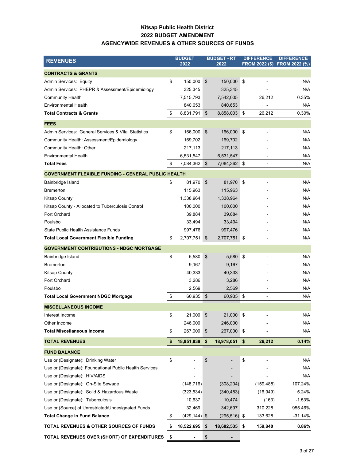#### **Kitsap Public Health District 2022 BUDGET AMENDMENT AGENCYWIDE REVENUES & OTHER SOURCES OF FUNDS**

| <b>REVENUES</b>                                            | <b>BUDGET</b><br>2022 |                         | <b>BUDGET - RT</b><br>2022 |            | <b>DIFFERENCE</b>        | <b>DIFFERENCE</b><br>FROM 2022 (\$) FROM 2022 (%) |
|------------------------------------------------------------|-----------------------|-------------------------|----------------------------|------------|--------------------------|---------------------------------------------------|
| <b>CONTRACTS &amp; GRANTS</b>                              |                       |                         |                            |            |                          |                                                   |
| Admin Services: Equity                                     | \$<br>150,000         | $\sqrt[6]{\frac{1}{2}}$ | 150,000                    | $\sqrt{3}$ |                          | N/A                                               |
| Admin Services: PHEPR & Assessment/Epidemiology            | 325,345               |                         | 325,345                    |            |                          | N/A                                               |
| <b>Community Health</b>                                    | 7,515,793             |                         | 7,542,005                  |            | 26,212                   | 0.35%                                             |
| <b>Environmental Health</b>                                | 840,653               |                         | 840,653                    |            |                          | N/A                                               |
| <b>Total Contracts &amp; Grants</b>                        | \$<br>8,831,791       | \$                      | 8,858,003                  | \$         | 26,212                   | 0.30%                                             |
| <b>FEES</b>                                                |                       |                         |                            |            |                          |                                                   |
| Admin Services: General Services & Vital Statistics        | \$<br>166,000         | \$                      | 166,000                    | -\$        | ۰                        | N/A                                               |
| Community Health: Assessment/Epidemiology                  | 169,702               |                         | 169,702                    |            |                          | N/A                                               |
| Community Health: Other                                    | 217,113               |                         | 217,113                    |            |                          | N/A                                               |
| <b>Environmental Health</b>                                | 6,531,547             |                         | 6,531,547                  |            |                          | N/A                                               |
| <b>Total Fees</b>                                          | \$<br>7,084,362       | $\mathfrak{S}$          | 7,084,362 \$               |            |                          | N/A                                               |
| <b>GOVERNMENT FLEXIBLE FUNDING - GENERAL PUBLIC HEALTH</b> |                       |                         |                            |            |                          |                                                   |
| Bainbridge Island                                          | \$<br>81,970          | \$                      | 81,970                     | $\sqrt{3}$ |                          | N/A                                               |
| <b>Bremerton</b>                                           | 115,963               |                         | 115,963                    |            |                          | N/A                                               |
| <b>Kitsap County</b>                                       | 1,338,964             |                         | 1,338,964                  |            |                          | N/A                                               |
| Kitsap County - Allocated to Tuberculosis Control          | 100,000               |                         | 100,000                    |            |                          | N/A                                               |
| Port Orchard                                               | 39,884                |                         | 39,884                     |            |                          | N/A                                               |
| Poulsbo                                                    | 33,494                |                         | 33,494                     |            |                          | N/A                                               |
| State Public Health Assistance Funds                       | 997,476               |                         | 997,476                    |            |                          | N/A                                               |
| <b>Total Local Government Flexible Funding</b>             | \$<br>2,707,751       | \$                      | 2,707,751 \$               |            |                          | N/A                                               |
| <b>GOVERNMENT CONTRIBUTIONS - NDGC MORTGAGE</b>            |                       |                         |                            |            |                          |                                                   |
| Bainbridge Island                                          | \$<br>5,580           | \$                      | 5,580                      | \$         |                          | N/A                                               |
| <b>Bremerton</b>                                           | 9,167                 |                         | 9,167                      |            |                          | N/A                                               |
| <b>Kitsap County</b>                                       | 40,333                |                         | 40,333                     |            |                          | N/A                                               |
| Port Orchard                                               | 3,286                 |                         | 3,286                      |            |                          | N/A                                               |
| Poulsbo                                                    | 2,569                 |                         | 2,569                      |            |                          | N/A                                               |
| <b>Total Local Government NDGC Mortgage</b>                | \$<br>60,935          | \$                      | 60,935                     | ∣\$        | ÷                        | N/A                                               |
| <b>MISCELLANEOUS INCOME</b>                                |                       |                         |                            |            |                          |                                                   |
| Interest Income                                            | \$<br>21,000          | \$                      | 21,000 \$                  |            |                          | N/A                                               |
| Other Income                                               | 246,000               |                         | 246,000                    |            |                          | N/A                                               |
| <b>Total Miscellaneous Income</b>                          | \$<br>267,000         | \$                      | 267,000                    | \$         | $\overline{\phantom{0}}$ | N/A                                               |
| <b>TOTAL REVENUES</b>                                      | \$<br>18,951,839      | \$                      | 18,978,051                 | \$         | 26,212                   | 0.14%                                             |
| <b>FUND BALANCE</b>                                        |                       |                         |                            |            |                          |                                                   |
| Use or (Designate): Drinking Water                         | \$                    | \$                      |                            | \$         |                          | N/A                                               |
| Use or (Designate): Foundational Public Health Services    |                       |                         |                            |            |                          | N/A                                               |
| Use or (Designate): HIV/AIDS                               |                       |                         |                            |            |                          | N/A                                               |
| Use or (Designate): On-Site Sewage                         | (148, 716)            |                         | (308, 204)                 |            | (159, 488)               | 107.24%                                           |
| Use or (Designate): Solid & Hazardous Waste                | (323, 534)            |                         | (340, 483)                 |            | (16, 949)                | 5.24%                                             |
| Use or (Designate): Tuberculosis                           | 10,637                |                         | 10,474                     |            | (163)                    | $-1.53%$                                          |
| Use or (Source) of Unrestricted/Undesignated Funds         | 32,469                |                         | 342,697                    |            | 310,228                  | 955.46%                                           |
| <b>Total Change in Fund Balance</b>                        | \$<br>$(429, 144)$ \$ |                         | $(295, 516)$ \$            |            | 133,628                  | $-31.14%$                                         |
| TOTAL REVENUES & OTHER SOURCES OF FUNDS                    | \$<br>18,522,695      | \$                      | 18,682,535                 | \$         | 159,840                  | 0.86%                                             |
| TOTAL REVENUES OVER (SHORT) OF EXPENDITURES                | \$                    | \$                      |                            |            |                          |                                                   |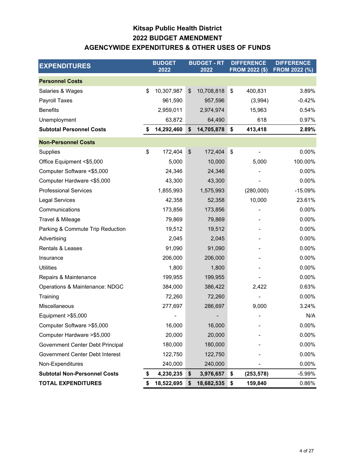## **Kitsap Public Health District AGENCYWIDE EXPENDITURES & OTHER USES OF FUNDS 2022 BUDGET AMENDMENT**

| <b>EXPENDITURES</b>                 | <b>BUDGET</b><br>2022 |                           | <b>BUDGET - RT</b><br>2022 | <b>DIFFERENCE</b><br><b>FROM 2022 (\$)</b> | <b>DIFFERENCE</b><br><b>FROM 2022 (%)</b> |
|-------------------------------------|-----------------------|---------------------------|----------------------------|--------------------------------------------|-------------------------------------------|
| <b>Personnel Costs</b>              |                       |                           |                            |                                            |                                           |
| Salaries & Wages                    | \$<br>10,307,987      | \$                        | 10,708,818                 | \$<br>400,831                              | 3.89%                                     |
| Payroll Taxes                       | 961,590               |                           | 957,596                    | (3,994)                                    | $-0.42%$                                  |
| <b>Benefits</b>                     | 2,959,011             |                           | 2,974,974                  | 15,963                                     | 0.54%                                     |
| Unemployment                        | 63,872                |                           | 64,490                     | 618                                        | 0.97%                                     |
| <b>Subtotal Personnel Costs</b>     | \$<br>14,292,460      | \$                        | 14,705,878                 | \$<br>413,418                              | 2.89%                                     |
| <b>Non-Personnel Costs</b>          |                       |                           |                            |                                            |                                           |
| Supplies                            | \$<br>172,404         | $\boldsymbol{\mathsf{S}}$ | 172,404                    | \$                                         | 0.00%                                     |
| Office Equipment <\$5,000           | 5,000                 |                           | 10,000                     | 5,000                                      | 100.00%                                   |
| Computer Software <\$5,000          | 24,346                |                           | 24,346                     |                                            | 0.00%                                     |
| Computer Hardware <\$5,000          | 43,300                |                           | 43,300                     |                                            | 0.00%                                     |
| <b>Professional Services</b>        | 1,855,993             |                           | 1,575,993                  | (280,000)                                  | $-15.09%$                                 |
| <b>Legal Services</b>               | 42,358                |                           | 52,358                     | 10,000                                     | 23.61%                                    |
| Communications                      | 173,856               |                           | 173,856                    |                                            | 0.00%                                     |
| Travel & Mileage                    | 79,869                |                           | 79,869                     |                                            | 0.00%                                     |
| Parking & Commute Trip Reduction    | 19,512                |                           | 19,512                     |                                            | 0.00%                                     |
| Advertising                         | 2,045                 |                           | 2,045                      |                                            | 0.00%                                     |
| Rentals & Leases                    | 91,090                |                           | 91,090                     |                                            | 0.00%                                     |
| Insurance                           | 206,000               |                           | 206,000                    |                                            | 0.00%                                     |
| <b>Utilities</b>                    | 1,800                 |                           | 1,800                      |                                            | 0.00%                                     |
| Repairs & Maintenance               | 199,955               |                           | 199,955                    |                                            | 0.00%                                     |
| Operations & Maintenance: NDGC      | 384,000               |                           | 386,422                    | 2,422                                      | 0.63%                                     |
| Training                            | 72,260                |                           | 72,260                     |                                            | 0.00%                                     |
| Miscellaneous                       | 277,697               |                           | 286,697                    | 9,000                                      | 3.24%                                     |
| Equipment > \$5,000                 |                       |                           |                            |                                            | N/A                                       |
| Computer Software > \$5,000         | 16,000                |                           | 16,000                     |                                            | 0.00%                                     |
| Computer Hardware > \$5,000         | 20,000                |                           | 20,000                     |                                            | 0.00%                                     |
| Government Center Debt Principal    | 180,000               |                           | 180,000                    |                                            | 0.00%                                     |
| Government Center Debt Interest     | 122,750               |                           | 122,750                    |                                            | 0.00%                                     |
| Non-Expenditures                    | 240,000               |                           | 240,000                    |                                            | 0.00%                                     |
| <b>Subtotal Non-Personnel Costs</b> | \$<br>4,230,235       | \$                        | 3,976,657                  | \$<br>(253, 578)                           | $-5.99%$                                  |
| <b>TOTAL EXPENDITURES</b>           | \$<br>18,522,695      | \$                        | 18,682,535                 | \$<br>159,840                              | 0.86%                                     |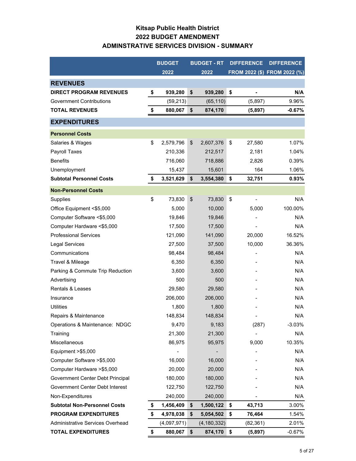### **Kitsap Public Health District 2022 BUDGET AMENDMENT ADMINSTRATIVE SERVICES DIVISION - SUMMARY**

|                                     | <b>BUDGET</b>   | <b>BUDGET - RT</b> | <b>DIFFERENCE</b>    | <b>DIFFERENCE</b>            |
|-------------------------------------|-----------------|--------------------|----------------------|------------------------------|
|                                     | 2022            | 2022               |                      | FROM 2022 (\$) FROM 2022 (%) |
| <b>REVENUES</b>                     |                 |                    |                      |                              |
| <b>DIRECT PROGRAM REVENUES</b>      | \$<br>939,280   | \$<br>939,280      | \$                   | N/A                          |
| <b>Government Contributions</b>     | (59, 213)       | (65, 110)          | (5,897)              | 9.96%                        |
| <b>TOTAL REVENUES</b>               | \$<br>880,067   | \$<br>874,170      | (5,897)              | $-0.67%$                     |
| <b>EXPENDITURES</b>                 |                 |                    |                      |                              |
| <b>Personnel Costs</b>              |                 |                    |                      |                              |
| Salaries & Wages                    | \$<br>2,579,796 | \$<br>2,607,376    | \$<br>27,580         | 1.07%                        |
| Payroll Taxes                       | 210,336         | 212,517            | 2,181                | 1.04%                        |
| <b>Benefits</b>                     | 716,060         | 718,886            | 2,826                | 0.39%                        |
| Unemployment                        | 15,437          | 15,601             | 164                  | 1.06%                        |
| <b>Subtotal Personnel Costs</b>     | \$<br>3,521,629 | \$<br>3,554,380    | \$<br>32,751         | 0.93%                        |
| <b>Non-Personnel Costs</b>          |                 |                    |                      |                              |
| Supplies                            | \$<br>73,830    | \$<br>73,830       | \$<br>$\blacksquare$ | N/A                          |
| Office Equipment <\$5,000           | 5,000           | 10,000             | 5,000                | 100.00%                      |
| Computer Software <\$5,000          | 19,846          | 19,846             |                      | N/A                          |
| Computer Hardware <\$5,000          | 17,500          | 17,500             |                      | N/A                          |
| <b>Professional Services</b>        | 121,090         | 141,090            | 20,000               | 16.52%                       |
| <b>Legal Services</b>               | 27,500          | 37,500             | 10,000               | 36.36%                       |
| Communications                      | 98,484          | 98,484             |                      | N/A                          |
| Travel & Mileage                    | 6,350           | 6,350              |                      | N/A                          |
| Parking & Commute Trip Reduction    | 3,600           | 3,600              |                      | N/A                          |
| Advertising                         | 500             | 500                |                      | N/A                          |
| <b>Rentals &amp; Leases</b>         | 29,580          | 29,580             |                      | N/A                          |
| Insurance                           | 206,000         | 206,000            |                      | N/A                          |
| <b>Utilities</b>                    | 1,800           | 1,800              |                      | N/A                          |
| Repairs & Maintenance               | 148,834         | 148,834            |                      | N/A                          |
| Operations & Maintenance: NDGC      | 9,470           | 9,183              | (287)                | $-3.03%$                     |
| Training                            | 21,300          | 21,300             |                      | N/A                          |
| Miscellaneous                       | 86,975          | 95,975             | 9,000                | 10.35%                       |
| Equipment > \$5,000                 |                 |                    |                      | N/A                          |
| Computer Software > \$5,000         | 16,000          | 16,000             |                      | N/A                          |
| Computer Hardware > \$5,000         | 20,000          | 20,000             |                      | N/A                          |
| Government Center Debt Principal    | 180,000         | 180,000            |                      | N/A                          |
| Government Center Debt Interest     | 122,750         | 122,750            |                      | N/A                          |
| Non-Expenditures                    | 240,000         | 240,000            |                      | N/A                          |
| <b>Subtotal Non-Personnel Costs</b> | \$<br>1,456,409 | \$<br>1,500,122    | \$<br>43,713         | 3.00%                        |
| <b>PROGRAM EXPENDITURES</b>         | \$<br>4,978,038 | \$<br>5,054,502    | \$<br>76,464         | 1.54%                        |
| Administrative Services Overhead    | (4,097,971)     | (4, 180, 332)      | (82, 361)            | 2.01%                        |
| <b>TOTAL EXPENDITURES</b>           | \$<br>880,067   | \$<br>874,170      | \$<br>(5,897)        | -0.67%                       |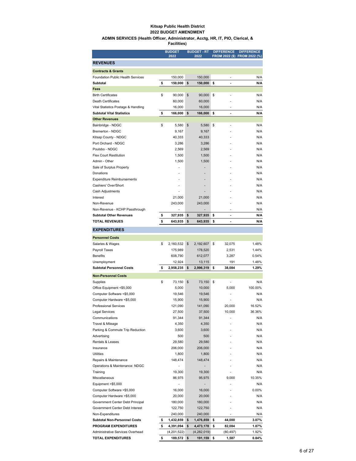#### **Kitsap Public Health District 2022 BUDGET AMENDMENT**

#### **ADMIN SERVICES (Health Officer, Administrator, Acctg, HR, IT, PIO, Clerical, & Facilities)**

|                                                         | <b>BUDGET</b>    | <b>BUDGET - RT</b> | <b>DIFFERENCE</b>              | <b>DIFFERENCE</b>            |
|---------------------------------------------------------|------------------|--------------------|--------------------------------|------------------------------|
|                                                         | 2022             | 2022               |                                | FROM 2022 (\$) FROM 2022 (%) |
| <b>REVENUES</b>                                         |                  |                    |                                |                              |
| <b>Contracts &amp; Grants</b>                           |                  |                    |                                |                              |
| Foundation Public Health Services                       | 150,000          | 150,000            | ÷,                             | N/A                          |
| Subtotal                                                | \$<br>150,000    | \$<br>150,000      | \$<br>٠                        | N/A                          |
| Fees                                                    |                  |                    |                                |                              |
| <b>Birth Certificates</b>                               | \$<br>90,000     | \$<br>90,000       | \$                             | N/A                          |
| Death Certificates                                      | 60,000           | 60,000             |                                | N/A                          |
| Vital Statistics Postage & Handling                     | 16,000           | 16,000             | ÷                              | N/A                          |
| <b>Subtotal Vital Statistics</b>                        | \$<br>166,000    | \$<br>166,000      | \$<br>$\overline{\phantom{a}}$ | N/A                          |
| <b>Other Revenues</b>                                   |                  |                    |                                |                              |
| Bainbridge - NDGC                                       | \$<br>5,580      | \$<br>5,580        | \$                             | N/A                          |
| Bremerton - NDGC                                        | 9,167            | 9,167              |                                | N/A                          |
| Kitsap County - NDGC<br>Port Orchard - NDGC             | 40,333<br>3,286  | 40,333<br>3,286    |                                | N/A<br>N/A                   |
| Poulsbo - NDGC                                          |                  |                    |                                | N/A                          |
| Flex Court Restitution                                  | 2,569<br>1,500   | 2,569<br>1,500     |                                | N/A                          |
| Admin - Other                                           | 1,500            | 1,500              |                                | N/A                          |
| Sale of Surplus Property                                |                  |                    |                                | N/A                          |
| Donations                                               |                  |                    |                                | N/A                          |
| <b>Expenditure Reimbursements</b>                       |                  |                    |                                | N/A                          |
| Cashiers' Over/Short                                    |                  |                    |                                | N/A                          |
| Cash Adjustments                                        |                  |                    |                                | N/A                          |
| Interest                                                | 21,000           | 21,000             |                                | N/A                          |
| Non-Revenue                                             | 243,000          | 243,000            |                                | N/A                          |
| Non-Revenue - KCHP Passthrough                          |                  |                    | ٠                              | N/A                          |
| <b>Subtotal Other Revenues</b>                          | \$<br>327,935    | \$<br>327,935      | \$<br>$\overline{a}$           | N/A                          |
| <b>TOTAL REVENUES</b>                                   | \$<br>643,935    | \$<br>643,935      | \$<br>$\blacksquare$           | N/A                          |
| <b>EXPENDITURES</b>                                     |                  |                    |                                |                              |
|                                                         |                  |                    |                                |                              |
| <b>Personnel Costs</b>                                  |                  |                    |                                |                              |
| Salaries & Wages                                        | \$<br>2,160,532  | \$<br>2,192,607    | \$<br>32,075                   | 1.48%                        |
| Payroll Taxes                                           | 175,989          | 178,520            | 2,531                          | 1.44%                        |
| <b>Benefits</b>                                         | 608,790          | 612,077            | 3,287                          | 0.54%                        |
| Unemployment                                            | 12,924           | 13,115             | 191                            | 1.48%                        |
| <b>Subtotal Personnel Costs</b>                         | \$<br>2,958,235  | \$<br>2,996,319    | \$<br>38,084                   | 1.29%                        |
| <b>Non-Personnel Costs</b>                              |                  |                    |                                |                              |
| Supplies                                                | \$<br>73,150     | \$<br>73,150       | \$                             | N/A                          |
| Office Equipment <\$5,000                               | 5,000            | 10,000             | 5,000                          | 100.00%                      |
| Computer Software <\$5,000                              | 19,546           | 19,546             |                                | N/A                          |
| Computer Hardware <\$5,000                              | 15,900           | 15,900             |                                | N/A                          |
| <b>Professional Services</b>                            | 121,090          | 141,090            | 20,000                         | 16.52%                       |
| Legal Services                                          | 27,500           | 37,500             | 10,000                         | 36.36%                       |
| Communications                                          | 91,344           | 91,344             |                                | N/A                          |
| Travel & Mileage                                        | 4,350            | 4,350              |                                | N/A                          |
| Parking & Commute Trip Reduction                        | 3,600            | 3,600              |                                | N/A                          |
| Advertising                                             | 500              | 500                |                                | N/A                          |
| Rentals & Leases                                        | 29,580           | 29,580             |                                | N/A                          |
| Insurance                                               | 206,000          | 206,000            |                                | N/A                          |
| Utilities                                               | 1,800            | 1,800              |                                | N/A                          |
| Repairs & Maintenance<br>Operations & Maintenance: NDGC | 148,474          | 148,474            |                                | N/A<br>N/A                   |
|                                                         |                  |                    |                                |                              |
| Training<br>Miscellaneous                               | 19,300<br>86,975 | 19,300<br>95,975   | 9,000                          | N/A<br>10.35%                |
| Equipment >\$5,000                                      | ٠                |                    | ä,                             | N/A                          |
| Computer Software >\$5,000                              | 16,000           | 16,000             |                                | 0.00%                        |
| Computer Hardware > \$5,000                             | 20,000           | 20,000             |                                | N/A                          |
| Government Center Debt Principal                        | 180,000          | 180,000            |                                | N/A                          |
| Government Center Debt Interest                         | 122,750          | 122,750            |                                | N/A                          |
| Non-Expenditures                                        | 240,000          | 240,000            | ٠                              | N/A                          |
| Subtotal Non-Personnel Costs                            | \$<br>1,432,859  | \$<br>1,476,859    | \$<br>44,000                   | 3.07%                        |
| <b>PROGRAM EXPENDITURES</b>                             | \$<br>4,391,094  | \$<br>4,473,178    | \$<br>82,084                   | 1.87%                        |
| Administrative Services Overhead                        | (4,201,522)      | (4,282,019)        | (80, 497)                      | 1.92%                        |
| <b>TOTAL EXPENDITURES</b>                               | \$<br>189,572    | \$<br>191,159      | \$<br>1,587                    | 0.84%                        |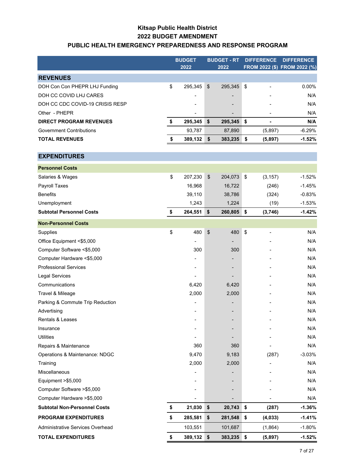### **Kitsap Public Health District 2022 BUDGET AMENDMENT PUBLIC HEALTH EMERGENCY PREPAREDNESS AND RESPONSE PROGRAM**

|                                     | <b>BUDGET</b><br>2022 |               | <b>BUDGET - RT</b><br>2022 | <b>DIFFERENCE</b><br>FROM 2022 (\$) FROM 2022 (%) |          | <b>DIFFERENCE</b> |
|-------------------------------------|-----------------------|---------------|----------------------------|---------------------------------------------------|----------|-------------------|
| <b>REVENUES</b>                     |                       |               |                            |                                                   |          |                   |
| DOH Con Con PHEPR LHJ Funding       | \$<br>295,345         | $\frac{1}{2}$ | 295,345                    | \$                                                |          | 0.00%             |
| DOH CC COVID LHJ CARES              |                       |               |                            |                                                   |          | N/A               |
| DOH CC CDC COVID-19 CRISIS RESP     |                       |               |                            |                                                   |          | N/A               |
| Other - PHEPR                       |                       |               |                            |                                                   |          | N/A               |
| <b>DIRECT PROGRAM REVENUES</b>      | \$<br>295,345         | \$            | 295,345                    | \$                                                |          | N/A               |
| <b>Government Contributions</b>     | 93,787                |               | 87,890                     |                                                   | (5,897)  | $-6.29%$          |
| <b>TOTAL REVENUES</b>               | \$<br>389,132 \$      |               | 383,235                    | \$                                                | (5,897)  | $-1.52%$          |
| <b>EXPENDITURES</b>                 |                       |               |                            |                                                   |          |                   |
| <b>Personnel Costs</b>              |                       |               |                            |                                                   |          |                   |
| Salaries & Wages                    | \$<br>207,230         | $\frac{1}{2}$ | 204,073                    | $\boldsymbol{\$}$                                 | (3, 157) | $-1.52%$          |
| Payroll Taxes                       | 16,968                |               | 16,722                     |                                                   | (246)    | $-1.45%$          |
| <b>Benefits</b>                     | 39,110                |               | 38,786                     |                                                   | (324)    | $-0.83%$          |
| Unemployment                        | 1,243                 |               | 1,224                      |                                                   | (19)     | $-1.53%$          |
| <b>Subtotal Personnel Costs</b>     | \$<br>264,551         | \$            | 260,805                    | \$                                                | (3,746)  | $-1.42%$          |
| <b>Non-Personnel Costs</b>          |                       |               |                            |                                                   |          |                   |
| Supplies                            | \$<br>480             | \$            | 480                        | \$                                                |          | N/A               |
| Office Equipment <\$5,000           |                       |               |                            |                                                   |          | N/A               |
| Computer Software <\$5,000          | 300                   |               | 300                        |                                                   |          | N/A               |
| Computer Hardware <\$5,000          |                       |               |                            |                                                   |          | N/A               |
| <b>Professional Services</b>        |                       |               |                            |                                                   |          | N/A               |
| <b>Legal Services</b>               |                       |               |                            |                                                   |          | N/A               |
| Communications                      | 6,420                 |               | 6,420                      |                                                   |          | N/A               |
| Travel & Mileage                    | 2,000                 |               | 2,000                      |                                                   |          | N/A               |
| Parking & Commute Trip Reduction    |                       |               |                            |                                                   |          | N/A               |
| Advertising                         |                       |               |                            |                                                   |          | N/A               |
| Rentals & Leases                    |                       |               |                            |                                                   |          | N/A               |
| Insurance                           |                       |               |                            |                                                   |          | N/A               |
| <b>Utilities</b>                    |                       |               |                            |                                                   |          | N/A               |
| Repairs & Maintenance               | 360                   |               | 360                        |                                                   |          | N/A               |
| Operations & Maintenance: NDGC      | 9,470                 |               | 9,183                      |                                                   | (287)    | $-3.03%$          |
| Training                            | 2,000                 |               | 2,000                      |                                                   |          | N/A               |
| Miscellaneous                       |                       |               |                            |                                                   |          | N/A               |
| Equipment >\$5,000                  |                       |               |                            |                                                   |          | N/A               |
| Computer Software > \$5,000         |                       |               |                            |                                                   |          | N/A               |
| Computer Hardware > \$5,000         |                       |               |                            |                                                   |          | N/A               |
| <b>Subtotal Non-Personnel Costs</b> | \$<br>21,030          | \$            | 20,743                     | \$                                                | (287)    | $-1.36%$          |
| <b>PROGRAM EXPENDITURES</b>         | \$<br>285,581         | \$            | 281,548                    | \$                                                | (4, 033) | $-1.41%$          |
| Administrative Services Overhead    | 103,551               |               | 101,687                    |                                                   | (1,864)  | $-1.80%$          |
| <b>TOTAL EXPENDITURES</b>           | \$<br>389,132         | $\sqrt{2}$    | 383,235                    | \$                                                | (5, 897) | $-1.52%$          |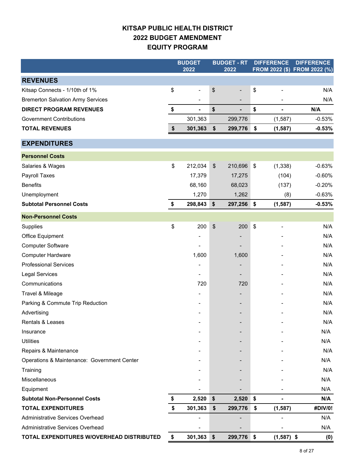### **KITSAP PUBLIC HEALTH DISTRICT 2022 BUDGET AMENDMENT EQUITY PROGRAM**

|                                             | <b>BUDGET</b>                  |               | <b>BUDGET - RT</b>       |                           | <b>DIFFERENCE</b>        | <b>DIFFERENCE</b>            |
|---------------------------------------------|--------------------------------|---------------|--------------------------|---------------------------|--------------------------|------------------------------|
|                                             | 2022                           |               | 2022                     |                           |                          | FROM 2022 (\$) FROM 2022 (%) |
| <b>REVENUES</b>                             |                                |               |                          |                           |                          |                              |
| Kitsap Connects - 1/10th of 1%              | \$<br>$\overline{\phantom{a}}$ | \$            | $\overline{\phantom{0}}$ | \$                        |                          | N/A                          |
| <b>Bremerton Salvation Army Services</b>    |                                |               |                          |                           |                          | N/A                          |
| <b>DIRECT PROGRAM REVENUES</b>              | \$<br>$\blacksquare$           | \$            | ٠                        | \$                        | ä,                       | N/A                          |
| <b>Government Contributions</b>             | 301,363                        |               | 299,776                  |                           | (1, 587)                 | $-0.53%$                     |
| <b>TOTAL REVENUES</b>                       | \$<br>301,363                  | \$            | 299,776                  | \$                        | (1, 587)                 | $-0.53%$                     |
| <b>EXPENDITURES</b>                         |                                |               |                          |                           |                          |                              |
| <b>Personnel Costs</b>                      |                                |               |                          |                           |                          |                              |
| Salaries & Wages                            | \$<br>212,034                  | $\frac{1}{2}$ | 210,696                  | \$                        | (1, 338)                 | $-0.63%$                     |
| Payroll Taxes                               | 17,379                         |               | 17,275                   |                           | (104)                    | $-0.60%$                     |
| <b>Benefits</b>                             | 68,160                         |               | 68,023                   |                           | (137)                    | $-0.20%$                     |
| Unemployment                                | 1,270                          |               | 1,262                    |                           | (8)                      | $-0.63%$                     |
| <b>Subtotal Personnel Costs</b>             | \$<br>298,843                  | \$            | 297,256                  | \$                        | (1, 587)                 | $-0.53%$                     |
| <b>Non-Personnel Costs</b>                  |                                |               |                          |                           |                          |                              |
| Supplies                                    | \$<br>200                      | \$            | 200                      | $\boldsymbol{\mathsf{S}}$ | $\overline{\phantom{a}}$ | N/A                          |
| Office Equipment                            |                                |               |                          |                           |                          | N/A                          |
| <b>Computer Software</b>                    |                                |               |                          |                           |                          | N/A                          |
| <b>Computer Hardware</b>                    | 1,600                          |               | 1,600                    |                           |                          | N/A                          |
| <b>Professional Services</b>                |                                |               | -                        |                           |                          | N/A                          |
| <b>Legal Services</b>                       |                                |               |                          |                           |                          | N/A                          |
| Communications                              | 720                            |               | 720                      |                           |                          | N/A                          |
| Travel & Mileage                            |                                |               |                          |                           |                          | N/A                          |
| Parking & Commute Trip Reduction            |                                |               |                          |                           |                          | N/A                          |
| Advertising                                 |                                |               |                          |                           |                          | N/A                          |
| Rentals & Leases                            |                                |               |                          |                           |                          | N/A                          |
| Insurance                                   |                                |               |                          |                           |                          | N/A                          |
| <b>Utilities</b>                            |                                |               |                          |                           |                          | N/A                          |
| Repairs & Maintenance                       |                                |               |                          |                           |                          | N/A                          |
| Operations & Maintenance: Government Center |                                |               |                          |                           |                          | N/A                          |
| Training                                    |                                |               |                          |                           |                          | N/A                          |
| Miscellaneous                               |                                |               |                          |                           |                          | N/A                          |
| Equipment                                   |                                |               |                          |                           |                          | N/A                          |
| <b>Subtotal Non-Personnel Costs</b>         | \$<br>2,520                    | \$            | 2,520                    | \$                        |                          | N/A                          |
| <b>TOTAL EXPENDITURES</b>                   | \$<br>301,363                  | \$            | 299,776                  | \$                        | (1, 587)                 | #DIV/0!                      |
| <b>Administrative Services Overhead</b>     |                                |               |                          |                           |                          | N/A                          |
| Administrative Services Overhead            |                                |               |                          |                           |                          | N/A                          |
| TOTAL EXPENDITURES W/OVERHEAD DISTRIBUTED   | \$<br>301,363                  | \$            | 299,776                  | \$                        | $(1,587)$ \$             | (0)                          |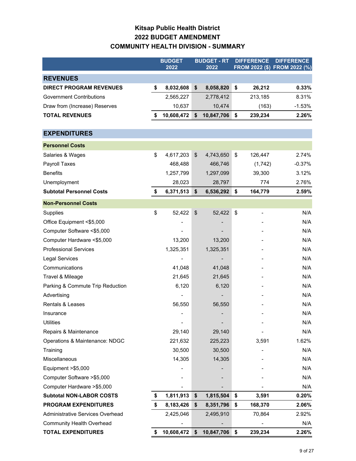### **Kitsap Public Health District 2022 BUDGET AMENDMENT COMMUNITY HEALTH DIVISION - SUMMARY**

|                                  | <b>BUDGET</b><br>2022 |                           | <b>BUDGET - RT</b><br>2022 | <b>DIFFERENCE</b><br>FROM 2022 (\$) FROM 2022 (%) |         | <b>DIFFERENCE</b> |
|----------------------------------|-----------------------|---------------------------|----------------------------|---------------------------------------------------|---------|-------------------|
| <b>REVENUES</b>                  |                       |                           |                            |                                                   |         |                   |
| <b>DIRECT PROGRAM REVENUES</b>   | \$<br>8,032,608       | \$                        | 8,058,820                  | \$                                                | 26,212  | 0.33%             |
| <b>Government Contributions</b>  | 2,565,227             |                           | 2,778,412                  |                                                   | 213,185 | 8.31%             |
| Draw from (Increase) Reserves    | 10,637                |                           | 10,474                     |                                                   | (163)   | $-1.53%$          |
| <b>TOTAL REVENUES</b>            | \$<br>10,608,472      | \$                        | 10,847,706                 | \$                                                | 239,234 | 2.26%             |
|                                  |                       |                           |                            |                                                   |         |                   |
| <b>EXPENDITURES</b>              |                       |                           |                            |                                                   |         |                   |
| <b>Personnel Costs</b>           |                       |                           |                            |                                                   |         |                   |
| Salaries & Wages                 | \$<br>4,617,203       | \$                        | 4,743,650                  | \$                                                | 126,447 | 2.74%             |
| <b>Payroll Taxes</b>             | 468,488               |                           | 466,746                    |                                                   | (1,742) | $-0.37%$          |
| <b>Benefits</b>                  | 1,257,799             |                           | 1,297,099                  |                                                   | 39,300  | 3.12%             |
| Unemployment                     | 28,023                |                           | 28,797                     |                                                   | 774     | 2.76%             |
| <b>Subtotal Personnel Costs</b>  | \$<br>6,371,513       | \$                        | 6,536,292                  | \$                                                | 164,779 | 2.59%             |
| <b>Non-Personnel Costs</b>       |                       |                           |                            |                                                   |         |                   |
| Supplies                         | \$<br>52,422          | $\boldsymbol{\mathsf{S}}$ | 52,422                     | \$                                                |         | N/A               |
| Office Equipment <\$5,000        |                       |                           |                            |                                                   |         | N/A               |
| Computer Software <\$5,000       |                       |                           |                            |                                                   |         | N/A               |
| Computer Hardware <\$5,000       | 13,200                |                           | 13,200                     |                                                   |         | N/A               |
| <b>Professional Services</b>     | 1,325,351             |                           | 1,325,351                  |                                                   |         | N/A               |
| Legal Services                   |                       |                           |                            |                                                   |         | N/A               |
| Communications                   | 41,048                |                           | 41,048                     |                                                   |         | N/A               |
| Travel & Mileage                 | 21,645                |                           | 21,645                     |                                                   |         | N/A               |
| Parking & Commute Trip Reduction | 6,120                 |                           | 6,120                      |                                                   |         | N/A               |
| Advertising                      |                       |                           |                            |                                                   |         | N/A               |
| Rentals & Leases                 | 56,550                |                           | 56,550                     |                                                   |         | N/A               |
| Insurance                        |                       |                           |                            |                                                   |         | N/A               |
| <b>Utilities</b>                 |                       |                           |                            |                                                   |         | N/A               |
| Repairs & Maintenance            | 29,140                |                           | 29,140                     |                                                   |         | N/A               |
| Operations & Maintenance: NDGC   | 221,632               |                           | 225,223                    |                                                   | 3,591   | 1.62%             |
| Training                         | 30,500                |                           | 30,500                     |                                                   |         | N/A               |
| Miscellaneous                    | 14,305                |                           | 14,305                     |                                                   |         | N/A               |
| Equipment >\$5,000               |                       |                           |                            |                                                   |         | N/A               |
| Computer Software > \$5,000      |                       |                           |                            |                                                   |         | N/A               |
| Computer Hardware > \$5,000      |                       |                           |                            |                                                   |         | N/A               |
| <b>Subtotal NON-LABOR COSTS</b>  | \$<br>1,811,913       | \$                        | 1,815,504                  | \$                                                | 3,591   | 0.20%             |
| <b>PROGRAM EXPENDITURES</b>      | \$<br>8,183,426       | \$                        | 8,351,796                  | \$                                                | 168,370 | 2.06%             |
| Administrative Services Overhead | 2,425,046             |                           | 2,495,910                  |                                                   | 70,864  | 2.92%             |
| <b>Community Health Overhead</b> |                       |                           |                            |                                                   |         | N/A               |
| <b>TOTAL EXPENDITURES</b>        | \$<br>10,608,472      | \$                        | 10,847,706                 | \$                                                | 239,234 | 2.26%             |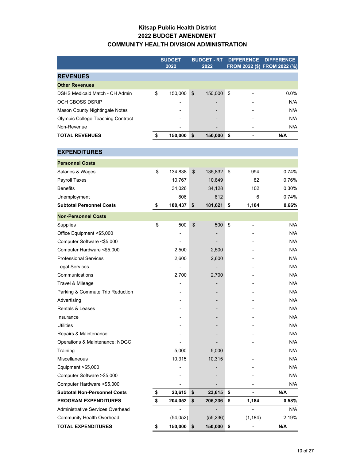### **Kitsap Public Health District 2022 BUDGET AMENDMENT COMMUNITY HEALTH DIVISION ADMINISTRATION**

|                                          | <b>BUDGET</b><br>2022 |                           | <b>BUDGET - RT</b><br>2022 | <b>DIFFERENCE</b> | <b>DIFFERENCE</b><br>FROM 2022 (\$) FROM 2022 (%) |
|------------------------------------------|-----------------------|---------------------------|----------------------------|-------------------|---------------------------------------------------|
| <b>REVENUES</b>                          |                       |                           |                            |                   |                                                   |
| <b>Other Revenues</b>                    |                       |                           |                            |                   |                                                   |
| DSHS Medicaid Match - CH Admin           | \$<br>150,000         | $\boldsymbol{\mathsf{S}}$ | 150,000                    | \$                | 0.0%                                              |
| OCH CBOSS DSRIP                          |                       |                           |                            |                   | N/A                                               |
| Mason County Nightingale Notes           |                       |                           |                            |                   | N/A                                               |
| <b>Olympic College Teaching Contract</b> |                       |                           |                            |                   | N/A                                               |
| Non-Revenue                              |                       |                           |                            |                   | N/A                                               |
| <b>TOTAL REVENUES</b>                    | \$<br>150,000         | \$                        | 150,000                    | \$                | N/A                                               |
| <b>EXPENDITURES</b>                      |                       |                           |                            |                   |                                                   |
| <b>Personnel Costs</b>                   |                       |                           |                            |                   |                                                   |
|                                          | \$<br>134,838         | \$                        | 135,832                    | \$<br>994         | 0.74%                                             |
| Salaries & Wages                         | 10,767                |                           | 10,849                     | 82                | 0.76%                                             |
| Payroll Taxes<br><b>Benefits</b>         | 34,026                |                           | 34,128                     | 102               | 0.30%                                             |
| Unemployment                             | 806                   |                           | 812                        | 6                 | 0.74%                                             |
| <b>Subtotal Personnel Costs</b>          | \$<br>180,437         | \$                        | 181,621                    | \$<br>1,184       | 0.66%                                             |
|                                          |                       |                           |                            |                   |                                                   |
| <b>Non-Personnel Costs</b>               |                       |                           |                            |                   |                                                   |
| Supplies                                 | \$<br>500             | \$                        | 500                        | \$                | N/A                                               |
| Office Equipment <\$5,000                |                       |                           |                            |                   | N/A                                               |
| Computer Software <\$5,000               |                       |                           |                            |                   | N/A                                               |
| Computer Hardware <\$5,000               | 2,500                 |                           | 2,500                      |                   | N/A                                               |
| <b>Professional Services</b>             | 2,600                 |                           | 2,600                      |                   | N/A                                               |
| <b>Legal Services</b>                    |                       |                           |                            |                   | N/A                                               |
| Communications                           | 2,700                 |                           | 2,700                      |                   | N/A                                               |
| Travel & Mileage                         |                       |                           |                            |                   | N/A                                               |
| Parking & Commute Trip Reduction         |                       |                           |                            |                   | N/A                                               |
| Advertising                              |                       |                           |                            |                   | N/A                                               |
| <b>Rentals &amp; Leases</b>              |                       |                           |                            |                   | N/A                                               |
| Insurance                                |                       |                           |                            |                   | N/A                                               |
| <b>Utilities</b>                         |                       |                           |                            |                   | N/A                                               |
| Repairs & Maintenance                    |                       |                           |                            |                   | N/A                                               |
| Operations & Maintenance: NDGC           |                       |                           |                            |                   | N/A                                               |
| Training                                 | 5,000                 |                           | 5,000                      |                   | N/A                                               |
| Miscellaneous                            | 10,315                |                           | 10,315                     |                   | N/A                                               |
| Equipment >\$5,000                       |                       |                           |                            |                   | N/A                                               |
| Computer Software >\$5,000               |                       |                           |                            |                   | N/A                                               |
| Computer Hardware > \$5,000              |                       |                           |                            |                   | N/A                                               |
| <b>Subtotal Non-Personnel Costs</b>      | \$<br>23,615          | \$                        | 23,615                     | \$                | N/A                                               |
| PROGRAM EXPENDITURES                     | \$<br>204,052         | \$                        | 205,236                    | \$<br>1,184       | 0.58%                                             |
| Administrative Services Overhead         |                       |                           |                            |                   | N/A                                               |
| <b>Community Health Overhead</b>         | (54, 052)             |                           | (55, 236)                  | (1, 184)          | 2.19%                                             |
| <b>TOTAL EXPENDITURES</b>                | \$<br>150,000         | \$                        | 150,000                    | \$                | N/A                                               |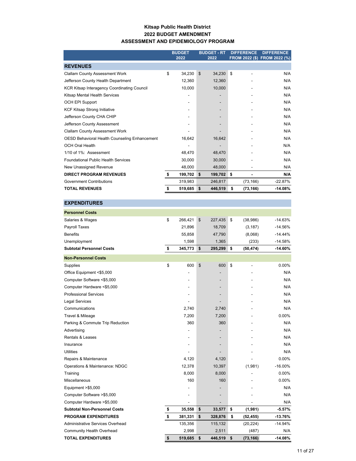#### **Kitsap Public Health District 2022 BUDGET AMENDMENT ASSESSMENT AND EPIDEMIOLOGY PROGRAM**

|                                                    | <b>BUDGET</b><br>2022 | <b>BUDGET - RT</b><br>2022 | <b>DIFFERENCE</b> | <b>DIFFERENCE</b><br>FROM 2022 (\$) FROM 2022 (%) |
|----------------------------------------------------|-----------------------|----------------------------|-------------------|---------------------------------------------------|
| <b>REVENUES</b>                                    |                       |                            |                   |                                                   |
| <b>Clallam County Assessment Work</b>              | \$<br>34,230          | \$<br>34,230               | \$                | N/A                                               |
| Jefferson County Health Department                 | 12.360                | 12,360                     |                   | N/A                                               |
| <b>KCR Kitsap Interagency Coordinating Council</b> | 10,000                | 10,000                     |                   | N/A                                               |
| Kitsap Mental Health Services                      |                       |                            |                   | N/A                                               |
| <b>OCH EPI Support</b>                             |                       |                            |                   | N/A                                               |
| <b>KCF Kitsap Strong Initiative</b>                |                       |                            |                   | N/A                                               |
| Jefferson County CHA CHIP                          |                       |                            |                   | N/A                                               |
| Jefferson County Assessment                        |                       |                            |                   | N/A                                               |
| <b>Clallam County Assessment Work</b>              |                       |                            |                   | N/A                                               |
| OESD Behavioral Health Counseling Enhancement      | 16,642                | 16,642                     |                   | N/A                                               |
| OCH Oral Health                                    |                       |                            |                   | N/A                                               |
| 1/10 of 1%: Assessment                             | 48.470                | 48,470                     |                   | N/A                                               |
| <b>Foundational Public Health Services</b>         | 30,000                | 30,000                     |                   | N/A                                               |
| New Unassigned Revenue                             | 48,000                | 48,000                     |                   | N/A                                               |
| <b>DIRECT PROGRAM REVENUES</b>                     | \$<br>199,702         | \$<br>199,702              | \$                | N/A                                               |
| <b>Government Contributions</b>                    | 319,983               | 246,817                    | (73, 166)         | $-22.87%$                                         |
| <b>TOTAL REVENUES</b>                              | 519,685               | \$<br>446,519              | \$<br>(73, 166)   | $-14.08%$                                         |

| <b>EXPENDITURES</b>                 |               |            |         |                 |           |
|-------------------------------------|---------------|------------|---------|-----------------|-----------|
| <b>Personnel Costs</b>              |               |            |         |                 |           |
| Salaries & Wages                    | \$<br>266,421 | $\sqrt{2}$ | 227,435 | \$<br>(38, 986) | $-14.63%$ |
| Payroll Taxes                       | 21,896        |            | 18,709  | (3, 187)        | $-14.56%$ |
| <b>Benefits</b>                     | 55,858        |            | 47,790  | (8,068)         | $-14.44%$ |
| Unemployment                        | 1,598         |            | 1,365   | (233)           | $-14.58%$ |
| <b>Subtotal Personnel Costs</b>     | \$<br>345,773 | \$         | 295,299 | \$<br>(50, 474) | $-14.60%$ |
| <b>Non-Personnel Costs</b>          |               |            |         |                 |           |
| Supplies                            | \$<br>600     | \$         | 600     | \$              | $0.00\%$  |
| Office Equipment <\$5,000           |               |            |         |                 | N/A       |
| Computer Software <\$5,000          | ۰             |            |         |                 | N/A       |
| Computer Hardware <\$5,000          |               |            |         |                 | N/A       |
| <b>Professional Services</b>        |               |            |         |                 | N/A       |
| <b>Legal Services</b>               |               |            |         |                 | N/A       |
| Communications                      | 2,740         |            | 2,740   |                 | N/A       |
| Travel & Mileage                    | 7,200         |            | 7,200   |                 | 0.00%     |
| Parking & Commute Trip Reduction    | 360           |            | 360     |                 | N/A       |
| Advertising                         |               |            |         |                 | N/A       |
| <b>Rentals &amp; Leases</b>         |               |            |         |                 | N/A       |
| Insurance                           |               |            |         |                 | N/A       |
| <b>Utilities</b>                    |               |            |         |                 | N/A       |
| Repairs & Maintenance               | 4,120         |            | 4,120   |                 | 0.00%     |
| Operations & Maintenance: NDGC      | 12,378        |            | 10,397  | (1,981)         | $-16.00%$ |
| Training                            | 8,000         |            | 8,000   |                 | $0.00\%$  |
| Miscellaneous                       | 160           |            | 160     |                 | 0.00%     |
| Equipment > \$5,000                 | ٠             |            |         |                 | N/A       |
| Computer Software >\$5,000          |               |            |         |                 | N/A       |
| Computer Hardware >\$5,000          |               |            |         |                 | N/A       |
| <b>Subtotal Non-Personnel Costs</b> | \$<br>35,558  | \$         | 33,577  | \$<br>(1,981)   | $-5.57%$  |
| <b>PROGRAM EXPENDITURES</b>         | \$<br>381,331 | \$         | 328,876 | \$<br>(52, 455) | $-13.76%$ |
| Administrative Services Overhead    | 135,356       |            | 115,132 | (20, 224)       | $-14.94%$ |
| <b>Community Health Overhead</b>    | 2,998         |            | 2,511   | (487)           | N/A       |

**TOTAL EXPENDITURES \$ 519,685 \$ 446,519 \$ (73,166) -14.08%**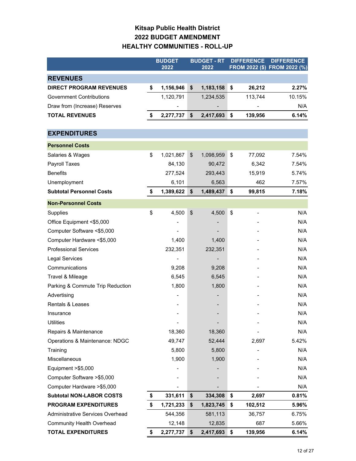### **Kitsap Public Health District 2022 BUDGET AMENDMENT HEALTHY COMMUNITIES - ROLL-UP**

|                                  | <b>BUDGET</b>   | <b>BUDGET - RT</b> |      | <b>DIFFERENCE</b>            | <b>DIFFERENCE</b>            |
|----------------------------------|-----------------|--------------------|------|------------------------------|------------------------------|
|                                  | 2022            | 2022               |      |                              | FROM 2022 (\$) FROM 2022 (%) |
| <b>REVENUES</b>                  |                 |                    |      |                              |                              |
| <b>DIRECT PROGRAM REVENUES</b>   | \$<br>1,156,946 | \$<br>1,183,158    | \$   | 26,212                       | 2.27%                        |
| <b>Government Contributions</b>  | 1,120,791       | 1,234,535          |      | 113,744                      | 10.15%                       |
| Draw from (Increase) Reserves    |                 |                    |      |                              | N/A                          |
| <b>TOTAL REVENUES</b>            | \$<br>2,277,737 | \$<br>2,417,693    | \$   | 139,956                      | 6.14%                        |
|                                  |                 |                    |      |                              |                              |
| <b>EXPENDITURES</b>              |                 |                    |      |                              |                              |
| <b>Personnel Costs</b>           |                 |                    |      |                              |                              |
| Salaries & Wages                 | \$<br>1,021,867 | \$<br>1,098,959    | \$   | 77,092                       | 7.54%                        |
| Payroll Taxes                    | 84,130          | 90,472             |      | 6,342                        | 7.54%                        |
| <b>Benefits</b>                  | 277,524         | 293,443            |      | 15,919                       | 5.74%                        |
| Unemployment                     | 6,101           | 6,563              |      | 462                          | 7.57%                        |
| <b>Subtotal Personnel Costs</b>  | \$<br>1,389,622 | \$<br>1,489,437    | \$   | 99,815                       | 7.18%                        |
| <b>Non-Personnel Costs</b>       |                 |                    |      |                              |                              |
| Supplies                         | \$<br>4,500     | \$<br>4,500        | \$   | $\qquad \qquad \blacksquare$ | N/A                          |
| Office Equipment <\$5,000        |                 |                    |      |                              | N/A                          |
| Computer Software <\$5,000       |                 |                    |      |                              | N/A                          |
| Computer Hardware <\$5,000       | 1,400           | 1,400              |      |                              | N/A                          |
| <b>Professional Services</b>     | 232,351         | 232,351            |      |                              | N/A                          |
| Legal Services                   |                 |                    |      |                              | N/A                          |
| Communications                   | 9,208           | 9,208              |      |                              | N/A                          |
| Travel & Mileage                 | 6,545           | 6,545              |      |                              | N/A                          |
| Parking & Commute Trip Reduction | 1,800           | 1,800              |      |                              | N/A                          |
| Advertising                      |                 |                    |      |                              | N/A                          |
| Rentals & Leases                 |                 |                    |      |                              | N/A                          |
| Insurance                        |                 |                    |      |                              | N/A                          |
| <b>Utilities</b>                 |                 |                    |      |                              | N/A                          |
| Repairs & Maintenance            | 18,360          | 18,360             |      |                              | N/A                          |
| Operations & Maintenance: NDGC   | 49,747          | 52,444             |      | 2,697                        | 5.42%                        |
| Training                         | 5,800           | 5,800              |      |                              | N/A                          |
| Miscellaneous                    | 1,900           | 1,900              |      |                              | N/A                          |
| Equipment >\$5,000               |                 |                    |      |                              | N/A                          |
| Computer Software > \$5,000      |                 |                    |      |                              | N/A                          |
| Computer Hardware > \$5,000      |                 |                    |      |                              | N/A                          |
| <b>Subtotal NON-LABOR COSTS</b>  | \$<br>331,611   | \$<br>334,308      | \$   | 2,697                        | 0.81%                        |
| <b>PROGRAM EXPENDITURES</b>      | \$<br>1,721,233 | \$<br>1,823,745    | \$   | 102,512                      | 5.96%                        |
| Administrative Services Overhead | 544,356         | 581,113            |      | 36,757                       | 6.75%                        |
| <b>Community Health Overhead</b> | 12,148          | 12,835             |      | 687                          | 5.66%                        |
| <b>TOTAL EXPENDITURES</b>        | \$<br>2,277,737 | \$<br>2,417,693    | - \$ | 139,956                      | 6.14%                        |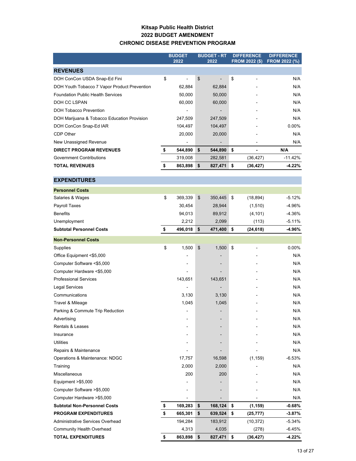### **Kitsap Public Health District 2022 BUDGET AMENDMENT CHRONIC DISEASE PREVENTION PROGRAM**

|                                                            | <b>BUDGET</b>        | <b>BUDGET - RT</b> |         | <b>DIFFERENCE</b> |                       | <b>DIFFERENCE</b> |
|------------------------------------------------------------|----------------------|--------------------|---------|-------------------|-----------------------|-------------------|
|                                                            | 2022                 |                    | 2022    |                   | <b>FROM 2022 (\$)</b> | FROM 2022 (%)     |
| <b>REVENUES</b>                                            |                      |                    |         |                   |                       |                   |
| DOH ConCon USDA Snap-Ed Fini                               | \$<br>$\overline{a}$ | \$                 |         | \$                |                       | N/A               |
| DOH Youth Tobacco 7 Vapor Product Prevention               | 62,884               |                    | 62,884  |                   |                       | N/A               |
| <b>Foundation Public Health Services</b>                   | 50,000               |                    | 50,000  |                   |                       | N/A               |
| DOH CC LSPAN                                               | 60,000               |                    | 60,000  |                   |                       | N/A               |
| DOH Tobacco Prevention                                     |                      |                    |         |                   |                       | N/A               |
| DOH Marijuana & Tobacco Education Provision                | 247,509              |                    | 247,509 |                   |                       | N/A               |
| DOH ConCon Snap-Ed IAR                                     | 104,497              |                    | 104,497 |                   |                       | 0.00%             |
| CDP Other                                                  | 20,000               |                    | 20,000  |                   |                       | N/A               |
| New Unassigned Revenue                                     |                      |                    |         |                   |                       | N/A               |
| <b>DIRECT PROGRAM REVENUES</b>                             | \$<br>544,890        | \$                 | 544,890 | \$                |                       | N/A               |
| <b>Government Contributions</b>                            | 319,008              |                    | 282,581 |                   | (36, 427)             | -11.42%           |
| <b>TOTAL REVENUES</b>                                      | \$<br>863,898        | \$                 | 827,471 | \$                | (36, 427)             | $-4.22%$          |
| <b>EXPENDITURES</b>                                        |                      |                    |         |                   |                       |                   |
| <b>Personnel Costs</b>                                     |                      |                    |         |                   |                       |                   |
| Salaries & Wages                                           | \$<br>369,339        | \$                 | 350,445 | \$                | (18, 894)             | -5.12%            |
| Payroll Taxes                                              | 30,454               |                    | 28,944  |                   | (1, 510)              | -4.96%            |
| <b>Benefits</b>                                            | 94,013               |                    | 89,912  |                   | (4, 101)              | -4.36%            |
| Unemployment                                               | 2,212                |                    | 2,099   |                   | (113)                 | $-5.11%$          |
| <b>Subtotal Personnel Costs</b>                            | \$<br>496,018        | \$                 | 471,400 | \$                | (24, 618)             | -4.96%            |
| <b>Non-Personnel Costs</b>                                 |                      |                    |         |                   |                       |                   |
| Supplies                                                   | \$<br>1,500          | \$                 | 1,500   | \$                |                       | 0.00%             |
| Office Equipment <\$5,000                                  |                      |                    |         |                   |                       | N/A               |
| Computer Software <\$5,000                                 |                      |                    |         |                   |                       | N/A               |
|                                                            |                      |                    |         |                   |                       | N/A               |
| Computer Hardware <\$5,000<br><b>Professional Services</b> | 143,651              |                    | 143,651 |                   |                       | N/A               |
| <b>Legal Services</b>                                      |                      |                    |         |                   |                       | N/A               |
| Communications                                             | 3,130                |                    | 3,130   |                   |                       | N/A               |
| Travel & Mileage                                           | 1,045                |                    | 1,045   |                   |                       | N/A               |
| Parking & Commute Trip Reduction                           | $\overline{a}$       |                    |         |                   |                       | N/A               |
| Advertising                                                |                      |                    |         |                   |                       | N/A               |
| Rentals & Leases                                           |                      |                    |         |                   |                       | N/A               |
| Insurance                                                  |                      |                    |         |                   |                       | N/A               |
| Utilities                                                  |                      |                    |         |                   |                       | N/A               |
| Repairs & Maintenance                                      |                      |                    |         |                   |                       | N/A               |
| Operations & Maintenance: NDGC                             | 17,757               |                    | 16,598  |                   | (1, 159)              | $-6.53%$          |
| Training                                                   | 2,000                |                    | 2,000   |                   |                       | N/A               |
| Miscellaneous                                              | 200                  |                    | 200     |                   |                       | N/A               |
| Equipment > \$5,000                                        |                      |                    |         |                   |                       | N/A               |
| Computer Software >\$5,000                                 |                      |                    |         |                   |                       | N/A               |
| Computer Hardware > \$5,000                                |                      |                    |         |                   |                       | N/A               |
| <b>Subtotal Non-Personnel Costs</b>                        | \$<br>169,283        | \$                 | 168,124 | \$                | (1, 159)              | -0.68%            |
| <b>PROGRAM EXPENDITURES</b>                                | \$<br>665,301        | \$                 | 639,524 | \$                | (25, 777)             | $-3.87%$          |
| Administrative Services Overhead                           | 194,284              |                    | 183,912 |                   | (10, 372)             | -5.34%            |
| <b>Community Health Overhead</b>                           | 4,313                |                    | 4,035   |                   | (278)                 | -6.45%            |
| <b>TOTAL EXPENDITURES</b>                                  | \$<br>863,898        | \$                 | 827,471 | \$                | (36, 427)             | $-4.22%$          |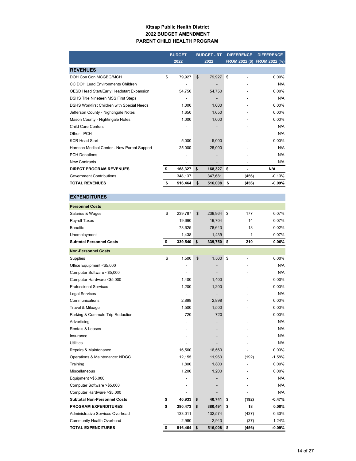#### **Kitsap Public Health District 2022 BUDGET AMENDMENT PARENT CHILD HEALTH PROGRAM**

|                                              | <b>BUDGET</b><br>2022 |         | <b>BUDGET - RT</b><br>2022 |    | <b>DIFFERENCE</b> | <b>DIFFERENCE</b><br>FROM 2022 (\$) FROM 2022 (%) |
|----------------------------------------------|-----------------------|---------|----------------------------|----|-------------------|---------------------------------------------------|
| <b>REVENUES</b>                              |                       |         |                            |    |                   |                                                   |
| DOH Con Con MCGBG/MCH                        | \$                    | 79.927  | \$<br>79,927               | \$ |                   | $0.00\%$                                          |
| CC DOH Lead Environments Children            |                       | -       |                            |    |                   | N/A                                               |
| OESD Head Start/Early Headstart Expansion    |                       | 54,750  | 54,750                     |    |                   | 0.00%                                             |
| DSHS Title Nineteen MSS First Steps          |                       | -       |                            |    |                   | N/A                                               |
| DSHS Workfirst Children with Special Needs   |                       | 1.000   | 1,000                      |    |                   | $0.00\%$                                          |
| Jefferson County - Nightingale Notes         |                       | 1,650   | 1,650                      |    |                   | $0.00\%$                                          |
| Mason County - Nightingale Notes             |                       | 1,000   | 1,000                      |    |                   | 0.00%                                             |
| <b>Child Care Centers</b>                    |                       |         |                            |    |                   | N/A                                               |
| Other - PCH                                  |                       |         |                            |    |                   | N/A                                               |
| <b>KCR Head Start</b>                        |                       | 5,000   | 5,000                      |    |                   | $0.00\%$                                          |
| Harrison Medical Center - New Parent Support |                       | 25,000  | 25,000                     |    |                   | N/A                                               |
| <b>PCH Donations</b>                         |                       |         |                            |    |                   | N/A                                               |
| <b>New Contracts</b>                         |                       |         |                            |    |                   | N/A                                               |
| <b>DIRECT PROGRAM REVENUES</b>               | \$                    | 168,327 | \$<br>168.327              | \$ | ۰                 | N/A                                               |
| <b>Government Contributions</b>              |                       | 348.137 | 347.681                    |    | (456)             | $-0.13%$                                          |
| <b>TOTAL REVENUES</b>                        | S                     | 516,464 | \$<br>516,008              | \$ | (456)             | $-0.09%$                                          |

| <b>EXPENDITURES</b>                 |               |               |                                |           |
|-------------------------------------|---------------|---------------|--------------------------------|-----------|
| <b>Personnel Costs</b>              |               |               |                                |           |
| Salaries & Wages                    | \$<br>239,787 | \$<br>239,964 | \$<br>177                      | 0.07%     |
| <b>Payroll Taxes</b>                | 19,690        | 19,704        | 14                             | 0.07%     |
| <b>Benefits</b>                     | 78,625        | 78,643        | 18                             | 0.02%     |
| Unemployment                        | 1,438         | 1,439         | $\mathbf{1}$                   | 0.07%     |
| <b>Subtotal Personnel Costs</b>     | \$<br>339,540 | \$<br>339,750 | \$<br>210                      | $0.06\%$  |
| <b>Non-Personnel Costs</b>          |               |               |                                |           |
| Supplies                            | \$<br>1,500   | \$<br>1,500   | \$<br>$\overline{\phantom{0}}$ | 0.00%     |
| Office Equipment <\$5,000           |               |               |                                | N/A       |
| Computer Software <\$5,000          |               |               |                                | N/A       |
| Computer Hardware <\$5,000          | 1,400         | 1,400         |                                | 0.00%     |
| <b>Professional Services</b>        | 1,200         | 1,200         |                                | 0.00%     |
| <b>Legal Services</b>               |               |               |                                | N/A       |
| Communications                      | 2,898         | 2,898         |                                | $0.00\%$  |
| Travel & Mileage                    | 1,500         | 1,500         |                                | 0.00%     |
| Parking & Commute Trip Reduction    | 720           | 720           |                                | 0.00%     |
| Advertising                         |               |               |                                | N/A       |
| <b>Rentals &amp; Leases</b>         |               |               |                                | N/A       |
| Insurance                           |               |               |                                | N/A       |
| <b>Utilities</b>                    |               |               |                                | N/A       |
| Repairs & Maintenance               | 16,560        | 16,560        |                                | 0.00%     |
| Operations & Maintenance: NDGC      | 12.155        | 11,963        | (192)                          | $-1.58%$  |
| Training                            | 1,800         | 1,800         |                                | 0.00%     |
| Miscellaneous                       | 1,200         | 1,200         |                                | 0.00%     |
| Equipment >\$5,000                  |               |               |                                | N/A       |
| Computer Software >\$5,000          |               |               |                                | N/A       |
| Computer Hardware > \$5,000         |               |               |                                | N/A       |
| <b>Subtotal Non-Personnel Costs</b> | \$<br>40,933  | \$<br>40,741  | \$<br>(192)                    | -0.47%    |
| <b>PROGRAM EXPENDITURES</b>         | \$<br>380,473 | \$<br>380,491 | \$<br>18                       | $0.00\%$  |
| Administrative Services Overhead    | 133,011       | 132,574       | (437)                          | $-0.33%$  |
| <b>Community Health Overhead</b>    | 2,980         | 2,943         | (37)                           | $-1.24%$  |
| <b>TOTAL EXPENDITURES</b>           | \$<br>516,464 | \$<br>516,008 | \$<br>(456)                    | $-0.09\%$ |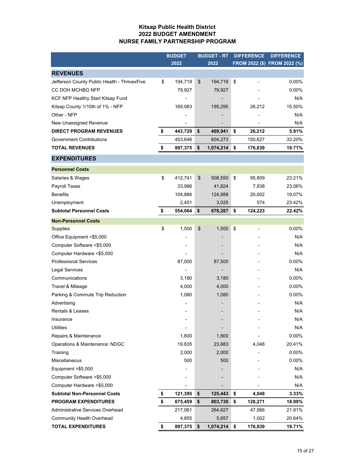#### **Kitsap Public Health District 2022 BUDGET AMENDMENT NURSE FAMILY PARTNERSHIP PROGRAM**

|                                              | <b>BUDGET</b> | <b>BUDGET - RT</b> | <b>DIFFERENCE</b>              | <b>DIFFERENCE</b>            |
|----------------------------------------------|---------------|--------------------|--------------------------------|------------------------------|
|                                              | 2022          | 2022               |                                | FROM 2022 (\$) FROM 2022 (%) |
| <b>REVENUES</b>                              |               |                    |                                |                              |
| Jefferson County Public Health - ThrivexFive | \$<br>194,719 | \$<br>194,719      | \$<br>-                        | $0.00\%$                     |
| CC DOH MCHBG NFP                             | 79,927        | 79,927             |                                | 0.00%                        |
| KCF NFP Healthy Start Kitsap Fund            |               |                    |                                | N/A                          |
| Kitsap County 1/10th of 1% - NFP             | 169,083       | 195,295            | 26,212                         | 15.50%                       |
| Other - NFP                                  |               |                    |                                | N/A                          |
| New Unassigned Revenue                       |               |                    |                                | N/A                          |
| <b>DIRECT PROGRAM REVENUES</b>               | \$<br>443,729 | \$<br>469,941      | \$<br>26,212                   | 5.91%                        |
| <b>Government Contributions</b>              | 453,646       | 604,273            | 150,627                        | 33.20%                       |
| <b>TOTAL REVENUES</b>                        | \$<br>897,375 | \$<br>1,074,214    | \$<br>176,839                  | 19.71%                       |
| <b>EXPENDITURES</b>                          |               |                    |                                |                              |
| <b>Personnel Costs</b>                       |               |                    |                                |                              |
| Salaries & Wages                             | \$<br>412,741 | \$<br>508,550      | \$<br>95,809                   | 23.21%                       |
| Payroll Taxes                                | 33,986        | 41,824             | 7,838                          | 23.06%                       |
| <b>Benefits</b>                              | 104,886       | 124,888            | 20,002                         | 19.07%                       |
| Unemployment                                 | 2,451         | 3,025              | 574                            | 23.42%                       |
| <b>Subtotal Personnel Costs</b>              | \$<br>554,064 | \$<br>678,287      | \$<br>124,223                  | 22.42%                       |
| <b>Non-Personnel Costs</b>                   |               |                    |                                |                              |
| Supplies                                     | \$<br>1,500   | \$<br>1,500        | \$<br>$\overline{\phantom{a}}$ | $0.00\%$                     |
| Office Equipment <\$5,000                    |               |                    |                                | N/A                          |
| Computer Software <\$5,000                   |               |                    |                                | N/A                          |
| Computer Hardware <\$5,000                   |               |                    |                                | N/A                          |
| <b>Professional Services</b>                 | 87,500        | 87,500             |                                | 0.00%                        |
| Legal Services                               |               |                    |                                | N/A                          |
| Communications                               | 3,180         | 3,180              |                                | $0.00\%$                     |
| Travel & Mileage                             | 4,000         | 4,000              |                                | $0.00\%$                     |
| Parking & Commute Trip Reduction             | 1,080         | 1,080              |                                | 0.00%                        |
| Advertising                                  |               |                    |                                | N/A                          |
| Rentals & Leases                             |               |                    |                                | N/A                          |
| Insurance                                    |               |                    |                                | N/A                          |
| <b>Utilities</b>                             |               |                    |                                | N/A                          |
| Repairs & Maintenance                        | 1,800         | 1,800              |                                | $0.00\%$                     |
| Operations & Maintenance: NDGC               | 19,835        | 23,883             | 4,048                          | 20.41%                       |
| Training                                     | 2,000         | 2,000              |                                | 0.00%                        |
| Miscellaneous                                | 500           | 500                |                                | $0.00\%$                     |
| Equipment >\$5,000                           |               |                    |                                | N/A                          |
| Computer Software > \$5,000                  |               |                    |                                | N/A                          |
| Computer Hardware > \$5,000                  |               |                    |                                | N/A                          |
| <b>Subtotal Non-Personnel Costs</b>          | \$<br>121,395 | \$<br>125,443      | \$<br>4,048                    | 3.33%                        |
| <b>PROGRAM EXPENDITURES</b>                  | \$<br>675,459 | \$<br>803,730      | \$<br>128,271                  | 18.99%                       |
| Administrative Services Overhead             | 217,061       | 264,627            | 47,566                         | 21.91%                       |
| Community Health Overhead                    | 4,855         | 5,857              | 1,002                          | 20.64%                       |
| <b>TOTAL EXPENDITURES</b>                    | \$<br>897,375 | \$<br>1,074,214    | \$<br>176,839                  | 19.71%                       |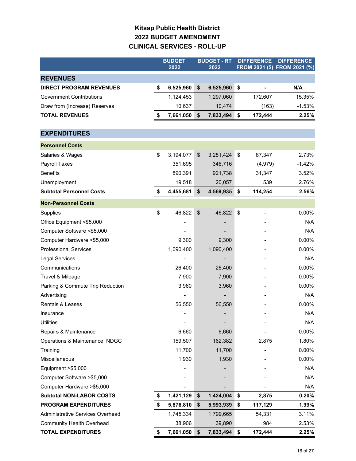### **Kitsap Public Health District 2022 BUDGET AMENDMENT CLINICAL SERVICES - ROLL-UP**

|                                  | <b>BUDGET</b>   | <b>BUDGET - RT</b> |           | <b>DIFFERENCE</b>         |         | <b>DIFFERENCE</b>            |
|----------------------------------|-----------------|--------------------|-----------|---------------------------|---------|------------------------------|
|                                  | 2022            |                    | 2022      |                           |         | FROM 2021 (\$) FROM 2021 (%) |
| <b>REVENUES</b>                  |                 |                    |           |                           |         |                              |
| <b>DIRECT PROGRAM REVENUES</b>   | \$<br>6,525,960 | \$                 | 6,525,960 | \$                        |         | N/A                          |
| <b>Government Contributions</b>  | 1,124,453       |                    | 1,297,060 |                           | 172,607 | 15.35%                       |
| Draw from (Increase) Reserves    | 10,637          |                    | 10,474    |                           | (163)   | $-1.53%$                     |
| <b>TOTAL REVENUES</b>            | \$<br>7,661,050 | \$                 | 7,833,494 | \$                        | 172,444 | 2.25%                        |
|                                  |                 |                    |           |                           |         |                              |
| <b>EXPENDITURES</b>              |                 |                    |           |                           |         |                              |
| <b>Personnel Costs</b>           |                 |                    |           |                           |         |                              |
| Salaries & Wages                 | \$<br>3,194,077 | \$                 | 3,281,424 | $\frac{1}{2}$             | 87,347  | 2.73%                        |
| Payroll Taxes                    | 351,695         |                    | 346,716   |                           | (4,979) | $-1.42%$                     |
| <b>Benefits</b>                  | 890,391         |                    | 921,738   |                           | 31,347  | 3.52%                        |
| Unemployment                     | 19,518          |                    | 20,057    |                           | 539     | 2.76%                        |
| <b>Subtotal Personnel Costs</b>  | \$<br>4,455,681 | \$                 | 4,569,935 | \$                        | 114,254 | 2.56%                        |
| <b>Non-Personnel Costs</b>       |                 |                    |           |                           |         |                              |
| Supplies                         | \$<br>46,822    | \$                 | 46,822    | $\boldsymbol{\mathsf{S}}$ |         | 0.00%                        |
| Office Equipment <\$5,000        |                 |                    |           |                           |         | N/A                          |
| Computer Software <\$5,000       |                 |                    |           |                           |         | N/A                          |
| Computer Hardware <\$5,000       | 9,300           |                    | 9,300     |                           |         | 0.00%                        |
| <b>Professional Services</b>     | 1,090,400       |                    | 1,090,400 |                           |         | 0.00%                        |
| Legal Services                   |                 |                    |           |                           |         | N/A                          |
| Communications                   | 26,400          |                    | 26,400    |                           |         | $0.00\%$                     |
| Travel & Mileage                 | 7,900           |                    | 7,900     |                           |         | $0.00\%$                     |
| Parking & Commute Trip Reduction | 3,960           |                    | 3,960     |                           |         | 0.00%                        |
| Advertising                      |                 |                    |           |                           |         | N/A                          |
| Rentals & Leases                 | 56,550          |                    | 56,550    |                           |         | 0.00%                        |
| Insurance                        |                 |                    |           |                           |         | N/A                          |
| <b>Utilities</b>                 |                 |                    |           |                           |         | N/A                          |
| Repairs & Maintenance            | 6,660           |                    | 6,660     |                           |         | 0.00%                        |
| Operations & Maintenance: NDGC   | 159,507         |                    | 162,382   |                           | 2,875   | 1.80%                        |
| Training                         | 11,700          |                    | 11,700    |                           |         | 0.00%                        |
| Miscellaneous                    | 1,930           |                    | 1,930     |                           |         | 0.00%                        |
| Equipment >\$5,000               |                 |                    |           |                           |         | N/A                          |
| Computer Software > \$5,000      |                 |                    |           |                           |         | N/A                          |
| Computer Hardware > \$5,000      |                 |                    |           |                           |         | N/A                          |
| <b>Subtotal NON-LABOR COSTS</b>  | \$<br>1,421,129 | \$                 | 1,424,004 | \$                        | 2,875   | 0.20%                        |
| <b>PROGRAM EXPENDITURES</b>      | \$<br>5,876,810 | \$                 | 5,993,939 | \$                        | 117,129 | 1.99%                        |
| Administrative Services Overhead | 1,745,334       |                    | 1,799,665 |                           | 54,331  | 3.11%                        |
| <b>Community Health Overhead</b> | 38,906          |                    | 39,890    |                           | 984     | 2.53%                        |
| <b>TOTAL EXPENDITURES</b>        | \$<br>7,661,050 | \$                 | 7,833,494 | \$                        | 172,444 | 2.25%                        |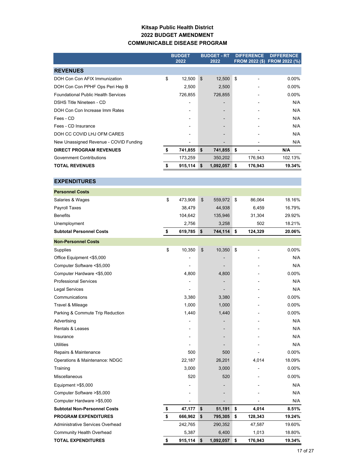#### **Kitsap Public Health District 2022 BUDGET AMENDMENT COMMUNICABLE DISEASE PROGRAM**

|                                            | <b>BUDGET</b> |                | <b>BUDGET - RT</b> |    | <b>DIFFERENCE</b> | <b>DIFFERENCE</b>            |
|--------------------------------------------|---------------|----------------|--------------------|----|-------------------|------------------------------|
|                                            | 2022          |                | 2022               |    |                   | FROM 2022 (\$) FROM 2022 (%) |
| <b>REVENUES</b>                            |               |                |                    |    |                   |                              |
| DOH Con Con AFIX Immunization              | \$<br>12,500  | $\mathfrak{L}$ | 12,500             | \$ |                   | $0.00\%$                     |
| DOH Con Con PPHF Ops Peri Hep B            | 2,500         |                | 2,500              |    |                   | $0.00\%$                     |
| <b>Foundational Public Health Services</b> | 726,855       |                | 726,855            |    |                   | $0.00\%$                     |
| DSHS Title Nineteen - CD                   |               |                |                    |    |                   | N/A                          |
| DOH Con Con Increase Imm Rates             |               |                |                    |    |                   | N/A                          |
| Fees - CD                                  |               |                |                    |    |                   | N/A                          |
| Fees - CD Insurance                        |               |                |                    |    |                   | N/A                          |
| DOH CC COVID LHJ OFM CARES                 |               |                |                    |    |                   | N/A                          |
| New Unassigned Revenue - COVID Funding     |               |                |                    |    |                   | N/A                          |
| <b>DIRECT PROGRAM REVENUES</b>             | \$<br>741,855 | \$             | 741,855            | \$ |                   | N/A                          |
| <b>Government Contributions</b>            | 173,259       |                | 350,202            |    | 176,943           | 102.13%                      |
| <b>TOTAL REVENUES</b>                      | 915,114       | \$.            | 1,092,057          | S  | 176,943           | 19.34%                       |

**EXPENDITURES**

| EXPENDIIURES                        |                |               |                           |                              |          |
|-------------------------------------|----------------|---------------|---------------------------|------------------------------|----------|
| <b>Personnel Costs</b>              |                |               |                           |                              |          |
| Salaries & Wages                    | \$<br>473,908  | \$<br>559,972 | $\boldsymbol{\mathsf{s}}$ | 86,064                       | 18.16%   |
| Payroll Taxes                       | 38,479         | 44,938        |                           | 6,459                        | 16.79%   |
| <b>Benefits</b>                     | 104,642        | 135,946       |                           | 31,304                       | 29.92%   |
| Unemployment                        | 2,756          | 3,258         |                           | 502                          | 18.21%   |
| <b>Subtotal Personnel Costs</b>     | \$<br>619,785  | \$<br>744,114 | ∣\$                       | 124,329                      | 20.06%   |
| <b>Non-Personnel Costs</b>          |                |               |                           |                              |          |
| Supplies                            | \$<br>10,350   | \$<br>10,350  | \$                        | $\qquad \qquad \blacksquare$ | 0.00%    |
| Office Equipment <\$5,000           |                |               |                           |                              | N/A      |
| Computer Software <\$5,000          | $\overline{a}$ |               |                           |                              | N/A      |
| Computer Hardware <\$5,000          | 4,800          | 4,800         |                           |                              | $0.00\%$ |
| <b>Professional Services</b>        |                |               |                           |                              | N/A      |
| <b>Legal Services</b>               | ۳              |               |                           |                              | N/A      |
| Communications                      | 3,380          | 3,380         |                           |                              | $0.00\%$ |
| Travel & Mileage                    | 1,000          | 1,000         |                           |                              | $0.00\%$ |
| Parking & Commute Trip Reduction    | 1,440          | 1,440         |                           |                              | $0.00\%$ |
| Advertising                         |                |               |                           |                              | N/A      |
| <b>Rentals &amp; Leases</b>         | $\overline{a}$ |               |                           |                              | N/A      |
| Insurance                           |                |               |                           |                              | N/A      |
| <b>Utilities</b>                    |                |               |                           |                              | N/A      |
| Repairs & Maintenance               | 500            | 500           |                           |                              | 0.00%    |
| Operations & Maintenance: NDGC      | 22,187         | 26,201        |                           | 4,014                        | 18.09%   |
| Training                            | 3,000          | 3,000         |                           |                              | $0.00\%$ |
| <b>Miscellaneous</b>                | 520            | 520           |                           |                              | $0.00\%$ |
| Equipment >\$5,000                  |                |               |                           |                              | N/A      |
| Computer Software > \$5,000         |                |               |                           |                              | N/A      |
| Computer Hardware >\$5,000          |                |               |                           |                              | N/A      |
| <b>Subtotal Non-Personnel Costs</b> | \$<br>47,177   | \$<br>51,191  | \$                        | 4,014                        | 8.51%    |
| <b>PROGRAM EXPENDITURES</b>         | \$<br>666,962  | \$<br>795,305 | \$                        | 128,343                      | 19.24%   |
| Administrative Services Overhead    | 242,765        | 290,352       |                           | 47,587                       | 19.60%   |
| <b>Community Health Overhead</b>    | 5,387          | 6,400         |                           | 1,013                        | 18.80%   |

**TOTAL EXPENDITURES \$ 915,114 \$ 1,092,057 \$ 176,943 19.34%**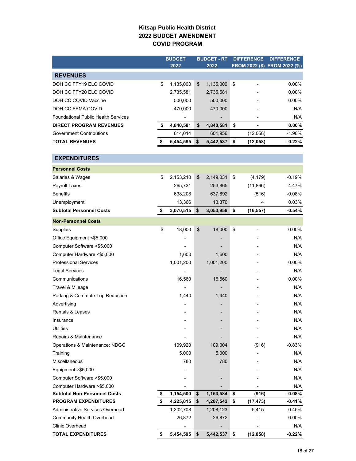### **Kitsap Public Health District 2022 BUDGET AMENDMENT COVID PROGRAM**

|                                            | <b>BUDGET</b>   | <b>BUDGET - RT</b> |    | <b>DIFFERENCE</b>        | <b>DIFFERENCE</b>            |  |
|--------------------------------------------|-----------------|--------------------|----|--------------------------|------------------------------|--|
|                                            | 2022            | 2022               |    |                          | FROM 2022 (\$) FROM 2022 (%) |  |
| <b>REVENUES</b>                            |                 |                    |    |                          |                              |  |
| DOH CC FFY19 ELC COVID                     | \$<br>1,135,000 | \$<br>1,135,000    | \$ | $\overline{\phantom{0}}$ | 0.00%                        |  |
| DOH CC FFY20 ELC COVID                     | 2,735,581       | 2,735,581          |    |                          | 0.00%                        |  |
| DOH CC COVID Vaccine                       | 500,000         | 500,000            |    |                          | 0.00%                        |  |
| DOH CC FEMA COVID                          | 470,000         | 470,000            |    |                          | N/A                          |  |
| <b>Foundational Public Health Services</b> |                 |                    |    |                          | N/A                          |  |
| <b>DIRECT PROGRAM REVENUES</b>             | \$<br>4,840,581 | \$<br>4,840,581    | \$ |                          | $0.00\%$                     |  |
| <b>Government Contributions</b>            | 614,014         | 601,956            |    | (12,058)                 | $-1.96%$                     |  |
| <b>TOTAL REVENUES</b>                      | \$<br>5,454,595 | \$<br>5,442,537    | \$ | (12, 058)                | $-0.22%$                     |  |
| <b>EXPENDITURES</b>                        |                 |                    |    |                          |                              |  |
| <b>Personnel Costs</b>                     |                 |                    |    |                          |                              |  |
| Salaries & Wages                           | \$<br>2,153,210 | \$<br>2,149,031    | \$ | (4, 179)                 | $-0.19%$                     |  |
| Payroll Taxes                              | 265,731         | 253,865            |    | (11, 866)                | -4.47%                       |  |
| <b>Benefits</b>                            | 638,208         | 637,692            |    | (516)                    | $-0.08%$                     |  |
| Unemployment                               | 13,366          | 13,370             |    | 4                        | 0.03%                        |  |
| <b>Subtotal Personnel Costs</b>            | \$<br>3,070,515 | \$<br>3,053,958    | \$ | (16, 557)                | $-0.54%$                     |  |
| <b>Non-Personnel Costs</b>                 |                 |                    |    |                          |                              |  |
| Supplies                                   | \$<br>18,000    | \$<br>18,000       | \$ |                          | $0.00\%$                     |  |
| Office Equipment <\$5,000                  |                 |                    |    |                          | N/A                          |  |
| Computer Software <\$5,000                 |                 |                    |    |                          | N/A                          |  |
| Computer Hardware <\$5,000                 | 1,600           | 1,600              |    |                          | N/A                          |  |
| <b>Professional Services</b>               | 1,001,200       | 1,001,200          |    |                          | 0.00%                        |  |
| <b>Legal Services</b>                      |                 |                    |    |                          | N/A                          |  |
| Communications                             | 16,560          | 16,560             |    |                          | 0.00%                        |  |
| Travel & Mileage                           |                 |                    |    |                          | N/A                          |  |
| Parking & Commute Trip Reduction           | 1,440           | 1,440              |    |                          | N/A                          |  |
| Advertising                                |                 |                    |    |                          | N/A                          |  |
| <b>Rentals &amp; Leases</b>                |                 |                    |    |                          | N/A                          |  |
| Insurance                                  |                 |                    |    |                          | N/A                          |  |
| <b>Utilities</b>                           |                 |                    |    |                          | N/A                          |  |
| Repairs & Maintenance                      |                 |                    |    |                          | N/A                          |  |
| Operations & Maintenance: NDGC             | 109,920         | 109,004            |    | (916)                    | $-0.83%$                     |  |
| Training                                   | 5,000           | 5,000              |    |                          | N/A                          |  |
| <b>Miscellaneous</b>                       | 780             | 780                |    |                          | N/A                          |  |
| Equipment > \$5,000                        |                 |                    |    |                          | N/A                          |  |
| Computer Software > \$5,000                |                 |                    |    |                          | N/A                          |  |
| Computer Hardware >\$5,000                 |                 |                    |    |                          | N/A                          |  |
| <b>Subtotal Non-Personnel Costs</b>        | \$<br>1,154,500 | \$<br>1,153,584    | \$ | (916)                    | $-0.08%$                     |  |
| <b>PROGRAM EXPENDITURES</b>                | \$<br>4,225,015 | \$<br>4,207,542    | \$ | (17, 473)                | $-0.41\%$                    |  |
| Administrative Services Overhead           | 1,202,708       | 1,208,123          |    | 5,415                    | 0.45%                        |  |
| <b>Community Health Overhead</b>           | 26,872          | 26,872             |    |                          | $0.00\%$                     |  |
| <b>Clinic Overhead</b>                     |                 |                    |    |                          | N/A                          |  |
| <b>TOTAL EXPENDITURES</b>                  | \$<br>5,454,595 | \$<br>5,442,537    | \$ | (12, 058)                | $-0.22%$                     |  |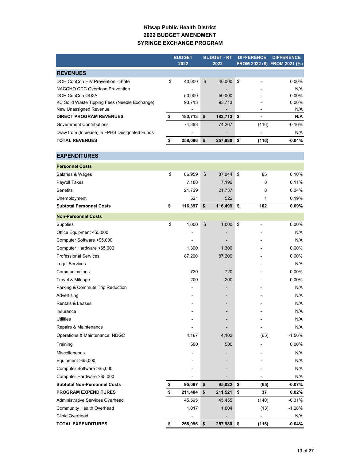#### **Kitsap Public Health District 2022 BUDGET AMENDMENT SYRINGE EXCHANGE PROGRAM**

|                                               | <b>BUDGET</b>            | <b>BUDGET - RT</b> |            | <b>DIFFERENCE</b>        | <b>DIFFERENCE</b> |
|-----------------------------------------------|--------------------------|--------------------|------------|--------------------------|-------------------|
|                                               | 2022                     | 2022               |            | FROM 2022 (\$) FROM 2021 | (%)               |
| <b>REVENUES</b>                               |                          |                    |            |                          |                   |
| DOH ConCon HIV Prevention - State             | \$<br>40,000             | \$                 | 40,000     | \$                       | $0.00\%$          |
| NACCHO CDC Overdose Prevention                |                          |                    |            |                          | N/A               |
| DOH ConCon OD2A                               | 50,000                   |                    | 50,000     |                          | 0.00%             |
| KC Solid Waste Tipping Fees (Needle Exchange) | 93,713                   |                    | 93,713     |                          | $0.00\%$          |
| New Unassigned Revenue                        |                          |                    |            |                          | N/A               |
| <b>DIRECT PROGRAM REVENUES</b>                | \$<br>183,713            | \$                 | 183,713 \$ |                          | N/A               |
| <b>Government Contributions</b>               | 74,383                   |                    | 74,267     | (116)                    | $-0.16%$          |
| Draw from (Increase) in FPHS Designated Funds |                          |                    |            |                          | N/A               |
| <b>TOTAL REVENUES</b>                         | \$<br>258,096            | \$                 | 257,980    | \$<br>(116)              | $-0.04%$          |
| <b>EXPENDITURES</b>                           |                          |                    |            |                          |                   |
| <b>Personnel Costs</b>                        |                          |                    |            |                          |                   |
| Salaries & Wages                              | 86,959                   | \$                 |            |                          | 0.10%             |
|                                               | \$                       |                    | 87,044     | \$<br>85                 |                   |
| Payroll Taxes                                 | 7,188                    |                    | 7,196      | 8                        | 0.11%             |
| <b>Benefits</b>                               | 21,729                   |                    | 21,737     | 8                        | 0.04%             |
| Unemployment                                  | 521                      |                    | 522        | 1                        | 0.19%             |
| <b>Subtotal Personnel Costs</b>               | \$<br>116,397            | \$                 | 116,499    | 102<br>\$                | $0.09\%$          |
| <b>Non-Personnel Costs</b>                    |                          |                    |            |                          |                   |
| Supplies                                      | \$<br>1,000              | \$                 | 1,000      | \$                       | $0.00\%$          |
| Office Equipment <\$5,000                     |                          |                    |            |                          | N/A               |
| Computer Software <\$5,000                    |                          |                    |            |                          | N/A               |
| Computer Hardware <\$5,000                    | 1,300                    |                    | 1,300      |                          | $0.00\%$          |
| <b>Professional Services</b>                  | 87,200                   |                    | 87,200     |                          | 0.00%             |
| Legal Services                                | $\overline{\phantom{0}}$ |                    |            |                          | N/A               |
| Communications                                | 720                      |                    | 720        |                          | 0.00%             |
| Travel & Mileage                              | 200                      |                    | 200        |                          | 0.00%             |
| Parking & Commute Trip Reduction              |                          |                    |            |                          | N/A               |
| Advertising                                   |                          |                    |            |                          | N/A               |
| <b>Rentals &amp; Leases</b>                   |                          |                    |            |                          | N/A               |
| Insurance                                     |                          |                    |            |                          | N/A               |
| <b>Utilities</b>                              |                          |                    |            |                          | N/A               |
| Repairs & Maintenance                         |                          |                    |            |                          | N/A               |
| Operations & Maintenance: NDGC                | 4,167                    |                    | 4,102      | (65)                     | $-1.56%$          |
| Training                                      | 500                      |                    | 500        |                          | 0.00%             |
| <b>Miscellaneous</b>                          |                          |                    |            |                          | N/A               |
| Equipment > \$5,000                           |                          |                    |            |                          | N/A               |
| Computer Software >\$5,000                    |                          |                    |            |                          | N/A               |
| Computer Hardware >\$5,000                    |                          |                    |            |                          | N/A               |
| <b>Subtotal Non-Personnel Costs</b>           | \$<br>95,087             | \$                 | 95,022     | \$<br>(65)               | $-0.07%$          |
| <b>PROGRAM EXPENDITURES</b>                   | \$<br>211,484            | \$                 | 211,521    | 37<br>\$                 | $0.02\%$          |
| Administrative Services Overhead              | 45,595                   |                    | 45,455     | (140)                    | $-0.31%$          |
| <b>Community Health Overhead</b>              | 1,017                    |                    | 1,004      | (13)                     | $-1.28%$          |
| <b>Clinic Overhead</b>                        |                          |                    |            |                          | N/A               |
| <b>TOTAL EXPENDITURES</b>                     | \$<br>258,096 \$         |                    | 257,980 \$ | (116)                    | $-0.04\%$         |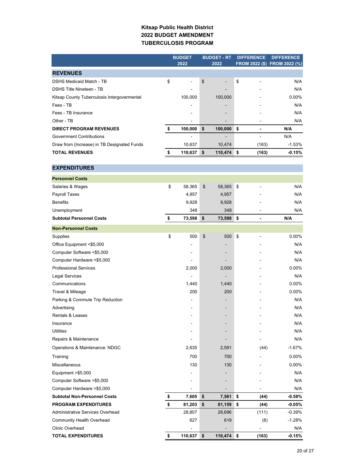#### **Kitsap Public Health District 2022 BUDGET AMENDMENT TUBERCULOSIS PROGRAM**

|                                             | <b>BUDGET</b>    | <b>BUDGET - RT</b> | <b>DIFFERENCE</b>    | <b>DIFFERENCE</b>            |
|---------------------------------------------|------------------|--------------------|----------------------|------------------------------|
|                                             | 2022             | 2022               |                      | FROM 2022 (\$) FROM 2022 (%) |
| <b>REVENUES</b>                             |                  |                    |                      |                              |
| <b>DSHS Medicaid Match - TB</b>             | \$<br>L,         | \$                 | \$<br>÷              | N/A                          |
| <b>DSHS Title Nineteen - TB</b>             |                  |                    |                      | N/A                          |
| Kitsap County Tuberculosis Intergovermental | 100,000          | 100,000            |                      | $0.00\%$                     |
| Fees - TB                                   |                  |                    |                      | N/A                          |
| Fees - TB Insurance                         |                  |                    |                      | N/A                          |
| Other - TB                                  |                  |                    |                      | N/A                          |
| <b>DIRECT PROGRAM REVENUES</b>              | \$<br>100,000    | \$<br>100,000      | \$<br>$\blacksquare$ | N/A                          |
| <b>Government Contributions</b>             |                  |                    |                      | N/A                          |
| Draw from (Increase) in TB Designated Funds | 10,637           | 10,474             | (163)                | $-1.53%$                     |
| <b>TOTAL REVENUES</b>                       | \$<br>110,637    | \$<br>110,474      | \$<br>(163)          | $-0.15%$                     |
|                                             |                  |                    |                      |                              |
| <b>EXPENDITURES</b>                         |                  |                    |                      |                              |
| <b>Personnel Costs</b>                      |                  |                    |                      |                              |
| Salaries & Wages                            | \$<br>58,365     | \$<br>58,365       | \$                   | N/A                          |
| Payroll Taxes                               | 4,957            | 4,957              |                      | N/A                          |
| <b>Benefits</b>                             | 9,928            | 9,928              |                      | N/A                          |
| Unemployment                                | 348              | 348                |                      | N/A                          |
| <b>Subtotal Personnel Costs</b>             | \$<br>73,598     | \$<br>73,598       | \$                   | N/A                          |
| <b>Non-Personnel Costs</b>                  |                  |                    |                      |                              |
| Supplies                                    | \$<br>500        | \$<br>500          | \$                   | 0.00%                        |
| Office Equipment <\$5,000                   |                  |                    |                      | N/A                          |
| Computer Software <\$5,000                  |                  |                    |                      | N/A                          |
| Computer Hardware <\$5,000                  |                  |                    |                      | N/A                          |
| <b>Professional Services</b>                | 2,000            | 2,000              |                      | $0.00\%$                     |
| <b>Legal Services</b>                       |                  |                    |                      | N/A                          |
| Communications                              | 1,440            | 1,440              |                      | 0.00%                        |
| Travel & Mileage                            | 200              | 200                |                      | 0.00%                        |
| Parking & Commute Trip Reduction            |                  |                    |                      | N/A                          |
| Advertising                                 |                  |                    |                      | N/A                          |
| Rentals & Leases                            |                  |                    |                      | N/A                          |
| Insurance                                   |                  |                    |                      | N/A                          |
| <b>Utilities</b>                            |                  |                    |                      | N/A                          |
| Repairs & Maintenance                       |                  |                    |                      | N/A                          |
| Operations & Maintenance: NDGC              | 2,635            | 2,591              | (44)                 | $-1.67%$                     |
| Training                                    | 700              | 700                |                      | 0.00%                        |
| <b>Miscellaneous</b>                        | 130              | 130                |                      | $0.00\%$                     |
|                                             |                  |                    |                      |                              |
| Equipment > \$5,000                         |                  |                    |                      | N/A                          |
| Computer Software >\$5,000                  |                  |                    |                      | N/A                          |
| Computer Hardware >\$5,000                  |                  |                    |                      | N/A                          |
| <b>Subtotal Non-Personnel Costs</b>         | \$<br>7,605      | \$<br>7,561        | \$<br>(44)           | $-0.58%$                     |
| <b>PROGRAM EXPENDITURES</b>                 | \$<br>81,203     | \$<br>81,159       | \$<br>(44)           | $-0.05%$                     |
| Administrative Services Overhead            | 28,807           | 28,696             | (111)                | $-0.39%$                     |
| <b>Community Health Overhead</b>            | 627              | 619                | (8)                  | $-1.28%$                     |
| Clinic Overhead                             |                  |                    |                      | N/A                          |
| <b>TOTAL EXPENDITURES</b>                   | \$<br>110,637 \$ | 110,474 \$         | (163)                | $-0.15%$                     |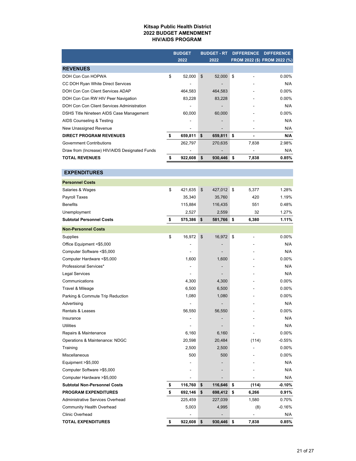#### **Kitsap Public Health District 2022 BUDGET AMENDMENT HIV/AIDS PROGRAM**

|                                                | <b>BUDGET</b> | <b>BUDGET - RT</b> | <b>DIFFERENCE</b> | <b>DIFFERENCE</b>            |
|------------------------------------------------|---------------|--------------------|-------------------|------------------------------|
|                                                | 2022          | 2022               |                   | FROM 2022 (\$) FROM 2022 (%) |
| <b>REVENUES</b>                                |               |                    |                   |                              |
| DOH Con Con HOPWA                              | \$<br>52,000  | \$<br>52,000       | \$                | $0.00\%$                     |
| CC DOH Ryan White Direct Services              |               |                    |                   | N/A                          |
| DOH Con Con Client Services ADAP               | 464,583       | 464,583            |                   | $0.00\%$                     |
| DOH Con Con RW HIV Peer Navigation             | 83,228        | 83,228             |                   | $0.00\%$                     |
| DOH Con Con Client Services Administration     |               |                    |                   | N/A                          |
| DSHS Title Nineteen AIDS Case Management       | 60,000        | 60,000             |                   | $0.00\%$                     |
| AIDS Counseling & Testing                      |               |                    |                   | N/A                          |
| New Unassigned Revenue                         |               |                    |                   | N/A                          |
| <b>DIRECT PROGRAM REVENUES</b>                 | \$<br>659,811 | \$<br>659,811      | \$                | N/A                          |
| <b>Government Contributions</b>                | 262,797       | 270,635            | 7,838             | 2.98%                        |
| Draw from (Increase) HIV/AIDS Designated Funds |               |                    |                   | N/A                          |
| <b>TOTAL REVENUES</b>                          | \$<br>922,608 | \$<br>930,446      | \$<br>7,838       | 0.85%                        |
|                                                |               |                    |                   |                              |
| <b>EXPENDITURES</b>                            |               |                    |                   |                              |
| Bonnamed Banda                                 |               |                    |                   |                              |

| <b>Personnel Costs</b>              |               |               |             |          |
|-------------------------------------|---------------|---------------|-------------|----------|
| Salaries & Wages                    | \$<br>421,635 | \$<br>427,012 | \$<br>5,377 | 1.28%    |
| Payroll Taxes                       | 35,340        | 35,760        | 420         | 1.19%    |
| <b>Benefits</b>                     | 115,884       | 116,435       | 551         | 0.48%    |
| Unemployment                        | 2,527         | 2,559         | 32          | 1.27%    |
| <b>Subtotal Personnel Costs</b>     | \$<br>575,386 | \$<br>581,766 | \$<br>6,380 | 1.11%    |
| <b>Non-Personnel Costs</b>          |               |               |             |          |
| Supplies                            | \$<br>16,972  | \$<br>16,972  | \$          | 0.00%    |
| Office Equipment <\$5,000           |               |               |             | N/A      |
| Computer Software <\$5,000          |               |               |             | N/A      |
| Computer Hardware <\$5,000          | 1,600         | 1,600         |             | 0.00%    |
| Professional Services*              |               |               |             | N/A      |
| Legal Services                      |               |               |             | N/A      |
| Communications                      | 4,300         | 4,300         |             | 0.00%    |
| Travel & Mileage                    | 6,500         | 6,500         |             | 0.00%    |
| Parking & Commute Trip Reduction    | 1,080         | 1,080         |             | 0.00%    |
| Advertising                         |               |               |             | N/A      |
| <b>Rentals &amp; Leases</b>         | 56,550        | 56,550        |             | 0.00%    |
| Insurance                           |               |               |             | N/A      |
| <b>Utilities</b>                    |               |               |             | N/A      |
| Repairs & Maintenance               | 6,160         | 6,160         |             | 0.00%    |
| Operations & Maintenance: NDGC      | 20,598        | 20,484        | (114)       | $-0.55%$ |
| Training                            | 2,500         | 2,500         |             | 0.00%    |
| Miscellaneous                       | 500           | 500           |             | 0.00%    |
| Equipment >\$5,000                  |               |               |             | N/A      |
| Computer Software >\$5,000          |               |               |             | N/A      |
| Computer Hardware > \$5,000         |               |               |             | N/A      |
| <b>Subtotal Non-Personnel Costs</b> | \$<br>116,760 | \$<br>116,646 | \$<br>(114) | $-0.10%$ |
| <b>PROGRAM EXPENDITURES</b>         | \$<br>692,146 | \$<br>698,412 | \$<br>6,266 | 0.91%    |
| Administrative Services Overhead    | 225,459       | 227,039       | 1,580       | 0.70%    |
| <b>Community Health Overhead</b>    | 5,003         | 4,995         | (8)         | $-0.16%$ |
| <b>Clinic Overhead</b>              |               |               |             | N/A      |
| <b>TOTAL EXPENDITURES</b>           | \$<br>922,608 | \$<br>930,446 | \$<br>7,838 | 0.85%    |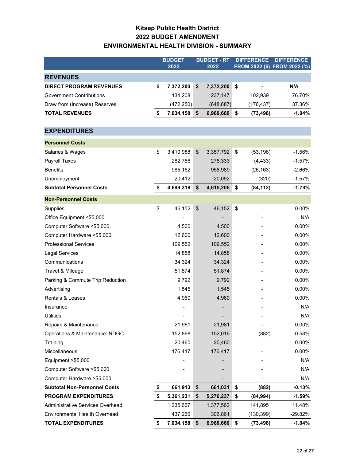### **Kitsap Public Health District 2022 BUDGET AMENDMENT ENVIRONMENTAL HEALTH DIVISION - SUMMARY**

|                                      | <b>BUDGET</b><br>2022 |                | <b>BUDGET - RT</b><br>2022 |    | <b>DIFFERENCE</b> | <b>DIFFERENCE</b><br>FROM 2022 (\$) FROM 2022 (%) |
|--------------------------------------|-----------------------|----------------|----------------------------|----|-------------------|---------------------------------------------------|
| <b>REVENUES</b>                      |                       |                |                            |    |                   |                                                   |
| <b>DIRECT PROGRAM REVENUES</b>       | \$<br>7,372,200       | \$             | 7,372,200                  | \$ |                   | N/A                                               |
| <b>Government Contributions</b>      | 134,208               |                | 237,147                    |    | 102,939           | 76.70%                                            |
| Draw from (Increase) Reserves        | (472, 250)            |                | (648, 687)                 |    | (176, 437)        | 37.36%                                            |
| <b>TOTAL REVENUES</b>                | \$<br>7,034,158       | \$             | 6,960,660                  | \$ | (73, 498)         | $-1.04%$                                          |
| <b>EXPENDITURES</b>                  |                       |                |                            |    |                   |                                                   |
| <b>Personnel Costs</b>               |                       |                |                            |    |                   |                                                   |
| Salaries & Wages                     | \$<br>3,410,988       | $\mathfrak{S}$ | 3,357,792                  | \$ | (53, 196)         | $-1.56%$                                          |
| Payroll Taxes                        | 282,766               |                | 278,333                    |    | (4, 433)          | $-1.57%$                                          |
| <b>Benefits</b>                      | 985,152               |                | 958,989                    |    | (26, 163)         | $-2.66%$                                          |
| Unemployment                         | 20,412                |                | 20,092                     |    | (320)             | $-1.57%$                                          |
| <b>Subtotal Personnel Costs</b>      | \$<br>4,699,318       | \$             | 4,615,206                  | \$ | (84, 112)         | $-1.79%$                                          |
| <b>Non-Personnel Costs</b>           |                       |                |                            |    |                   |                                                   |
| Supplies                             | \$<br>46,152          | \$             | 46,152                     | \$ |                   | 0.00%                                             |
| Office Equipment <\$5,000            |                       |                |                            |    |                   | N/A                                               |
| Computer Software <\$5,000           | 4,500                 |                | 4,500                      |    |                   | 0.00%                                             |
| Computer Hardware <\$5,000           | 12,600                |                | 12,600                     |    |                   | 0.00%                                             |
| <b>Professional Services</b>         | 109,552               |                | 109,552                    |    |                   | 0.00%                                             |
| <b>Legal Services</b>                | 14,858                |                | 14,858                     |    |                   | 0.00%                                             |
| Communications                       | 34,324                |                | 34,324                     |    |                   | 0.00%                                             |
| Travel & Mileage                     | 51,874                |                | 51,874                     |    |                   | 0.00%                                             |
| Parking & Commute Trip Reduction     | 9,792                 |                | 9,792                      |    |                   | 0.00%                                             |
| Advertising                          | 1,545                 |                | 1,545                      |    |                   | 0.00%                                             |
| <b>Rentals &amp; Leases</b>          | 4,960                 |                | 4,960                      |    |                   | 0.00%                                             |
| Insurance                            |                       |                |                            |    |                   | N/A                                               |
| <b>Utilities</b>                     |                       |                |                            |    |                   | N/A                                               |
| Repairs & Maintenance                | 21,981                |                | 21,981                     |    |                   | 0.00%                                             |
| Operations & Maintenance: NDGC       | 152,898               |                | 152,016                    |    | (882)             | $-0.58%$                                          |
| Training                             | 20,460                |                | 20,460                     |    |                   | $0.00\%$                                          |
| Miscellaneous                        | 176,417               |                | 176,417                    |    |                   | 0.00%                                             |
| Equipment >\$5,000                   |                       |                |                            |    |                   | N/A                                               |
| Computer Software >\$5,000           |                       |                |                            |    |                   | N/A                                               |
| Computer Hardware > \$5,000          |                       |                |                            |    |                   | N/A                                               |
| <b>Subtotal Non-Personnel Costs</b>  | \$<br>661,913         | \$             | 661,031                    | \$ | (882)             | $-0.13%$                                          |
| <b>PROGRAM EXPENDITURES</b>          | \$<br>5,361,231       | \$             | 5,276,237                  | \$ | (84, 994)         | $-1.59%$                                          |
| Administrative Services Overhead     | 1,235,667             |                | 1,377,562                  |    | 141,895           | 11.48%                                            |
| <b>Environmental Health Overhead</b> | 437,260               |                | 306,861                    |    | (130, 399)        | $-29.82%$                                         |
| <b>TOTAL EXPENDITURES</b>            | \$<br>7,034,158       | \$             | 6,960,660                  | \$ | (73, 498)         | $-1.04%$                                          |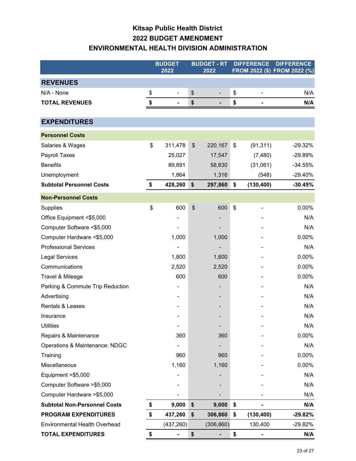# **Kitsap Public Health District 2022 BUDGET AMENDMENT ENVIRONMENTAL HEALTH DIVISION ADMINISTRATION**

|                                      | <b>BUDGET</b><br>2022 | <b>BUDGET - RT</b><br>2022  |                          | <b>DIFFERENCE</b><br>FROM 2022 (\$) FROM 2022 (%) |                          | <b>DIFFERENCE</b> |
|--------------------------------------|-----------------------|-----------------------------|--------------------------|---------------------------------------------------|--------------------------|-------------------|
| <b>REVENUES</b>                      |                       |                             |                          |                                                   |                          |                   |
| N/A - None                           | \$<br>$\overline{a}$  | \$                          | $\overline{\phantom{m}}$ | \$                                                | $\overline{\phantom{a}}$ | N/A               |
| <b>TOTAL REVENUES</b>                | \$<br>-               | \$                          |                          | \$                                                |                          | N/A               |
|                                      |                       |                             |                          |                                                   |                          |                   |
| <b>EXPENDITURES</b>                  |                       |                             |                          |                                                   |                          |                   |
| <b>Personnel Costs</b>               |                       |                             |                          |                                                   |                          |                   |
| Salaries & Wages                     | \$<br>311,478         | \$                          | 220,167                  | \$                                                | (91, 311)                | $-29.32%$         |
| Payroll Taxes                        | 25,027                |                             | 17,547                   |                                                   | (7, 480)                 | -29.89%           |
| <b>Benefits</b>                      | 89,891                |                             | 58,830                   |                                                   | (31,061)                 | $-34.55%$         |
| Unemployment                         | 1,864                 |                             | 1,316                    |                                                   | (548)                    | $-29.40%$         |
| <b>Subtotal Personnel Costs</b>      | \$<br>428,260         | \$                          | 297,860                  | \$                                                | (130, 400)               | $-30.45%$         |
| <b>Non-Personnel Costs</b>           |                       |                             |                          |                                                   |                          |                   |
| Supplies                             | \$<br>600             | $\boldsymbol{\hat{\theta}}$ | 600                      | \$                                                | -                        | 0.00%             |
| Office Equipment <\$5,000            |                       |                             |                          |                                                   |                          | N/A               |
| Computer Software <\$5,000           |                       |                             |                          |                                                   |                          | N/A               |
| Computer Hardware <\$5,000           | 1,000                 |                             | 1,000                    |                                                   |                          | 0.00%             |
| <b>Professional Services</b>         |                       |                             |                          |                                                   |                          | N/A               |
| <b>Legal Services</b>                | 1,800                 |                             | 1,800                    |                                                   |                          | 0.00%             |
| Communications                       | 2,520                 |                             | 2,520                    |                                                   |                          | 0.00%             |
| Travel & Mileage                     | 600                   |                             | 600                      |                                                   |                          | 0.00%             |
| Parking & Commute Trip Reduction     |                       |                             |                          |                                                   |                          | N/A               |
| Advertising                          |                       |                             |                          |                                                   |                          | N/A               |
| Rentals & Leases                     |                       |                             |                          |                                                   |                          | N/A               |
| Insurance                            |                       |                             |                          |                                                   |                          | N/A               |
| <b>Utilities</b>                     | ۰                     |                             |                          |                                                   |                          | N/A               |
| Repairs & Maintenance                | 360                   |                             | 360                      |                                                   |                          | 0.00%             |
| Operations & Maintenance: NDGC       |                       |                             |                          |                                                   |                          | N/A               |
| Training                             | 960                   |                             | 960                      |                                                   |                          | 0.00%             |
| Miscellaneous                        | 1,160                 |                             | 1,160                    |                                                   |                          | 0.00%             |
| Equipment >\$5,000                   |                       |                             |                          |                                                   |                          | N/A               |
| Computer Software >\$5,000           |                       |                             |                          |                                                   |                          | N/A               |
| Computer Hardware > \$5,000          |                       |                             |                          |                                                   |                          | N/A               |
| <b>Subtotal Non-Personnel Costs</b>  | \$<br>9,000           | \$                          | 9,000                    | \$                                                |                          | N/A               |
| <b>PROGRAM EXPENDITURES</b>          | \$<br>437,260         | \$                          | 306,860                  | \$                                                | (130, 400)               | $-29.82%$         |
| <b>Environmental Health Overhead</b> | (437, 260)            |                             | (306, 860)               |                                                   | 130,400                  | $-29.82%$         |
| <b>TOTAL EXPENDITURES</b>            | \$<br>$\blacksquare$  | \$                          | ۰                        | \$                                                | -                        | N/A               |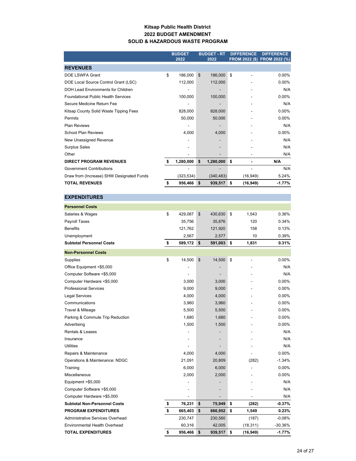#### **Kitsap Public Health District 2022 BUDGET AMENDMENT SOLID & HAZARDOUS WASTE PROGRAM**

|                                            |    | <b>BUDGET</b><br>2022 | <b>BUDGET - RT</b><br>2022 |            | <b>DIFFERENCE</b> |           | <b>DIFFERENCE</b><br>FROM 2022 (\$) FROM 2022 (%) |
|--------------------------------------------|----|-----------------------|----------------------------|------------|-------------------|-----------|---------------------------------------------------|
| <b>REVENUES</b>                            |    |                       |                            |            |                   |           |                                                   |
| DOE LSWFA Grant                            | \$ | 186,000               | \$                         | 186,000    | \$                |           | $0.00\%$                                          |
| DOE Local Source Control Grant (LSC)       |    | 112,000               |                            | 112,000    |                   |           | $0.00\%$                                          |
| DOH Lead Environments for Children         |    |                       |                            |            |                   |           | N/A                                               |
| <b>Foundational Public Health Services</b> |    | 100,000               |                            | 100,000    |                   |           | $0.00\%$                                          |
| Secure Medicine Return Fee                 |    |                       |                            |            |                   |           | N/A                                               |
| Kitsap County Solid Waste Tipping Fees     |    | 828,000               |                            | 828,000    |                   |           | $0.00\%$                                          |
| Permits                                    |    | 50,000                |                            | 50,000     |                   |           | $0.00\%$                                          |
| <b>Plan Reviews</b>                        |    |                       |                            |            |                   |           | N/A                                               |
| <b>School Plan Reviews</b>                 |    | 4,000                 |                            | 4,000      |                   |           | 0.00%                                             |
| New Unassigned Revenue                     |    |                       |                            |            |                   |           | N/A                                               |
| <b>Surplus Sales</b>                       |    |                       |                            |            |                   |           | N/A                                               |
| Other                                      |    |                       |                            |            |                   |           | N/A                                               |
| <b>DIRECT PROGRAM REVENUES</b>             | Ŝ. | 1,280,000             | \$                         | 1,280,000  | \$                |           | N/A                                               |
| <b>Government Contributions</b>            |    |                       |                            |            |                   |           | N/A                                               |
| Draw from (Increase) SHW Designated Funds  |    | (323, 534)            |                            | (340, 483) |                   | (16, 949) | 5.24%                                             |
| <b>TOTAL REVENUES</b>                      | \$ | 956,466               | \$                         | 939,517    | \$                | (16, 949) | $-1.77%$                                          |

| <b>EXPENDITURES</b>                     |                          |               |                 |           |
|-----------------------------------------|--------------------------|---------------|-----------------|-----------|
| <b>Personnel Costs</b>                  |                          |               |                 |           |
| Salaries & Wages                        | \$<br>429,087            | \$<br>430,630 | \$<br>1,543     | 0.36%     |
| Payroll Taxes                           | 35,756                   | 35,876        | 120             | 0.34%     |
| <b>Benefits</b>                         | 121,762                  | 121,920       | 158             | 0.13%     |
| Unemployment                            | 2,567                    | 2,577         | 10              | 0.39%     |
| <b>Subtotal Personnel Costs</b>         | \$<br>589,172            | \$<br>591,003 | \$<br>1,831     | 0.31%     |
| <b>Non-Personnel Costs</b>              |                          |               |                 |           |
| Supplies                                | \$<br>14,500             | \$<br>14,500  | \$<br>-         | 0.00%     |
| Office Equipment <\$5,000               |                          |               |                 | N/A       |
| Computer Software <\$5,000              | $\overline{\phantom{a}}$ |               |                 | N/A       |
| Computer Hardware <\$5,000              | 3,000                    | 3,000         |                 | 0.00%     |
| <b>Professional Services</b>            | 9,000                    | 9,000         |                 | 0.00%     |
| <b>Legal Services</b>                   | 4,000                    | 4,000         |                 | 0.00%     |
| Communications                          | 3,960                    | 3,960         |                 | 0.00%     |
| Travel & Mileage                        | 5,500                    | 5,500         |                 | 0.00%     |
| Parking & Commute Trip Reduction        | 1,680                    | 1,680         |                 | 0.00%     |
| Advertising                             | 1,500                    | 1,500         |                 | 0.00%     |
| <b>Rentals &amp; Leases</b>             |                          |               |                 | N/A       |
| Insurance                               |                          |               |                 | N/A       |
| <b>Utilities</b>                        |                          |               |                 | N/A       |
| Repairs & Maintenance                   | 4,000                    | 4,000         |                 | 0.00%     |
| Operations & Maintenance: NDGC          | 21,091                   | 20,809        | (282)           | $-1.34%$  |
| Training                                | 6,000                    | 6,000         |                 | 0.00%     |
| Miscellaneous                           | 2,000                    | 2,000         |                 | 0.00%     |
| Equipment $> $5,000$                    |                          |               |                 | N/A       |
| Computer Software >\$5,000              |                          |               |                 | N/A       |
| Computer Hardware > \$5,000             | $\overline{\phantom{a}}$ |               |                 | N/A       |
| <b>Subtotal Non-Personnel Costs</b>     | \$<br>76,231             | \$<br>75,949  | \$<br>(282)     | $-0.37%$  |
| <b>PROGRAM EXPENDITURES</b>             | \$<br>665,403            | \$<br>666,952 | \$<br>1,549     | 0.23%     |
| <b>Administrative Services Overhead</b> | 230,747                  | 230,560       | (187)           | $-0.08%$  |
| <b>Environmental Health Overhead</b>    | 60,316                   | 42,005        | (18, 311)       | $-30.36%$ |
| <b>TOTAL EXPENDITURES</b>               | \$<br>956,466            | \$<br>939,517 | \$<br>(16, 949) | $-1.77%$  |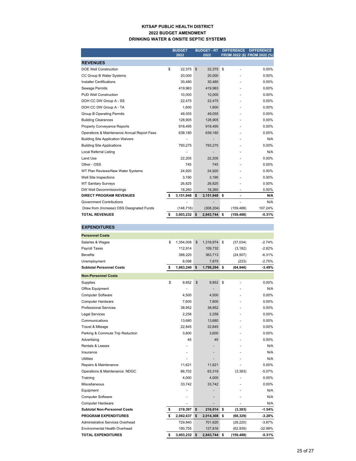#### **KITSAP PUBLIC HEALTH DISTRICT 2022 BUDGET AMENDMENT DRINKING WATER & ONSITE SEPTIC SYSTEMS**

|                                             | <b>BUDGET</b>   |    | <b>BUDGET - RT</b> | <b>DIFFERENCE</b> |            | <b>DIFFERENCE</b>            |  |
|---------------------------------------------|-----------------|----|--------------------|-------------------|------------|------------------------------|--|
|                                             | 2022            |    | 2022               |                   |            | FROM 2022 (\$) FROM 2022 (%) |  |
| <b>REVENUES</b>                             |                 |    |                    |                   |            |                              |  |
| <b>DOE Well Construction</b>                | \$<br>22,375    | \$ | 22,375             | \$                |            | 0.00%                        |  |
| CC Group B Water Systems                    | 20.000          |    | 20,000             |                   |            | 0.00%                        |  |
| <b>Installer Certifications</b>             | 30,480          |    | 30,480             |                   |            | 0.00%                        |  |
| <b>Sewage Permits</b>                       | 419,963         |    | 419,963            |                   |            | 0.00%                        |  |
| <b>PUD Well Construction</b>                | 10,000          |    | 10,000             |                   |            | 0.00%                        |  |
| DOH CC DW Group A - SS                      | 22.475          |    | 22,475             |                   |            | 0.00%                        |  |
| DOH CC DW Group A - TA                      | 1,600           |    | 1,600              |                   |            | 0.00%                        |  |
| <b>Group B Operating Permits</b>            | 49.055          |    | 49.055             |                   |            | 0.00%                        |  |
| <b>Building Clearances</b>                  | 128,905         |    | 128,905            |                   |            | 0.00%                        |  |
| <b>Property Conveyance Reports</b>          | 918,495         |    | 918,495            |                   |            | $0.00\%$                     |  |
| Operations & Maintenance Annual Report Fees | 639,180         |    | 639,180            |                   |            | 0.00%                        |  |
| <b>Building Site Application Waivers</b>    |                 |    |                    |                   |            | N/A                          |  |
| <b>Building Site Applications</b>           | 793,275         |    | 793,275            |                   |            | 0.00%                        |  |
| <b>Local Referral Listing</b>               |                 |    |                    |                   |            | N/A                          |  |
| Land Use                                    | 22,205          |    | 22,205             |                   |            | 0.00%                        |  |
| Other - OSS                                 | 745             |    | 745                |                   |            | 0.00%                        |  |
| WT Plan Reviews/New Water Systems           | 24.920          |    | 24,920             |                   |            | 0.00%                        |  |
| Well Site Inspections                       | 3,190           |    | 3,190              |                   |            | 0.00%                        |  |
| <b>WT Sanitary Surveys</b>                  | 26,825          |    | 26,825             |                   |            | 0.00%                        |  |
| DW Well Decommissionings                    | 18,260          |    | 18,260             |                   | ٠          | 0.00%                        |  |
| <b>DIRECT PROGRAM REVENUES</b>              | \$<br>3,151,948 | \$ | 3,151,948          | \$                |            | N/A                          |  |
| <b>Government Contributions</b>             |                 |    |                    |                   |            | N/A                          |  |
| Draw from (Increase) OSS Designated Funds   | (148, 716)      |    | (308, 204)         |                   | (159, 488) | 107.24%                      |  |
| <b>TOTAL REVENUES</b>                       | \$<br>3,003,232 | \$ | 2,843,744 \$       |                   | (159, 488) | $-5.31%$                     |  |

| <b>EXPENDITURES</b>                  |                 |                 |                  |           |
|--------------------------------------|-----------------|-----------------|------------------|-----------|
| <b>Personnel Costs</b>               |                 |                 |                  |           |
| Salaries & Wages                     | \$<br>1,354,008 | \$<br>1,316,974 | \$<br>(37, 034)  | $-2.74%$  |
| Payroll Taxes                        | 112.914         | 109,732         | (3, 182)         | $-2.82%$  |
| <b>Benefits</b>                      | 388,220         | 363,713         | (24, 507)        | $-6.31%$  |
| Unemployment                         | 8,098           | 7,875           | (223)            | $-2.75%$  |
| <b>Subtotal Personnel Costs</b>      | \$<br>1,863,240 | \$<br>1,798,294 | \$<br>(64, 946)  | $-3.49%$  |
| <b>Non-Personnel Costs</b>           |                 |                 |                  |           |
| Supplies                             | \$<br>9,852     | \$<br>9,852     | \$<br>÷,         | 0.00%     |
| <b>Office Equipment</b>              |                 |                 |                  | N/A       |
| <b>Computer Software</b>             | 4,500           | 4,500           |                  | 0.00%     |
| <b>Computer Hardware</b>             | 7,600           | 7,600           |                  | 0.00%     |
| <b>Professional Services</b>         | 38,952          | 38,952          |                  | 0.00%     |
| Legal Services                       | 2,258           | 2,258           |                  | 0.00%     |
| Communications                       | 13,680          | 13,680          |                  | 0.00%     |
| Travel & Mileage                     | 22,845          | 22,845          |                  | 0.00%     |
| Parking & Commute Trip Reduction     | 3,600           | 3,600           |                  | 0.00%     |
| Advertising                          | 45              | 45              |                  | 0.00%     |
| <b>Rentals &amp; Leases</b>          |                 |                 |                  | N/A       |
| Insurance                            |                 |                 |                  | N/A       |
| <b>Utilities</b>                     |                 |                 |                  | N/A       |
| Repairs & Maintenance                | 11,621          | 11,621          |                  | 0.00%     |
| Operations & Maintenance: NDGC       | 66,702          | 63,319          | (3, 383)         | $-5.07%$  |
| Training                             | 4,000           | 4,000           |                  | 0.00%     |
| Miscellaneous                        | 33,742          | 33,742          |                  | 0.00%     |
| Equipment                            |                 |                 |                  | N/A       |
| <b>Computer Software</b>             |                 |                 |                  | N/A       |
| Computer Hardware                    |                 |                 |                  | N/A       |
| <b>Subtotal Non-Personnel Costs</b>  | \$<br>219,397   | \$<br>216,014   | \$<br>(3, 383)   | $-1.54%$  |
| <b>PROGRAM EXPENDITURES</b>          | \$<br>2,082,637 | \$<br>2,014,308 | \$<br>(68, 329)  | $-3.28%$  |
| Administrative Services Overhead     | 729,840         | 701,620         | (28, 220)        | $-3.87%$  |
| <b>Environmental Health Overhead</b> | 190,755         | 127,816         | (62, 939)        | $-32.99%$ |
| <b>TOTAL EXPENDITURES</b>            | \$<br>3,003,232 | \$<br>2,843,744 | \$<br>(159, 488) | $-5.31%$  |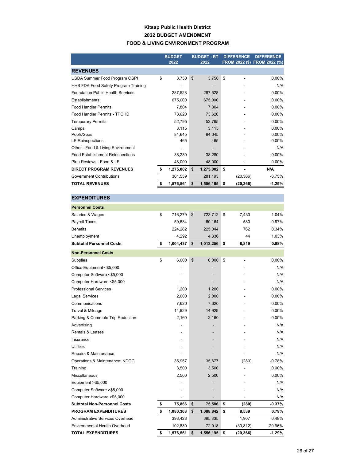#### **Kitsap Public Health District 2022 BUDGET AMENDMENT FOOD & LIVING ENVIRONMENT PROGRAM**

|                                          |    | <b>BUDGET</b><br>2022 |    | <b>BUDGET - RT</b><br>2022 | <b>DIFFERENCE</b> |           | <b>DIFFERENCE</b><br>FROM 2022 (\$) FROM 2022 (%) |
|------------------------------------------|----|-----------------------|----|----------------------------|-------------------|-----------|---------------------------------------------------|
| <b>REVENUES</b>                          |    |                       |    |                            |                   |           |                                                   |
| USDA Summer Food Program OSPI            | \$ | 3,750                 | \$ | 3,750                      | \$                |           | $0.00\%$                                          |
| HHS FDA Food Safety Program Training     |    |                       |    |                            |                   |           | N/A                                               |
| <b>Foundation Public Health Services</b> |    | 287,528               |    | 287,528                    |                   |           | 0.00%                                             |
| Establishments                           |    | 675,000               |    | 675,000                    |                   |           | 0.00%                                             |
| <b>Food Handler Permits</b>              |    | 7,804                 |    | 7,804                      |                   |           | 0.00%                                             |
| Food Handler Permits - TPCHD             |    | 73,620                |    | 73,620                     |                   |           | 0.00%                                             |
| <b>Temporary Permits</b>                 |    | 52,795                |    | 52,795                     |                   |           | $0.00\%$                                          |
| Camps                                    |    | 3,115                 |    | 3,115                      |                   |           | 0.00%                                             |
| Pools/Spas                               |    | 84,645                |    | 84,645                     |                   |           | $0.00\%$                                          |
| <b>LE Reinspections</b>                  |    | 465                   |    | 465                        |                   |           | $0.00\%$                                          |
| Other - Food & Living Environment        |    |                       |    |                            |                   |           | N/A                                               |
| <b>Food Establishment Reinspections</b>  |    | 38,280                |    | 38,280                     |                   |           | 0.00%                                             |
| Plan Reviews - Food & LE                 |    | 48,000                |    | 48,000                     |                   |           | $0.00\%$                                          |
| <b>DIRECT PROGRAM REVENUES</b>           | \$ | 1,275,002             | \$ | 1,275,002                  | \$                |           | N/A                                               |
| <b>Government Contributions</b>          |    | 301,559               |    | 281,193                    |                   | (20, 366) | $-6.75%$                                          |
| <b>TOTAL REVENUES</b>                    | S  | 1,576,561             | \$ | 1,556,195                  | \$                | (20, 366) | $-1.29%$                                          |

| <b>EXPENDITURES</b>                 |                 |                 |                |          |
|-------------------------------------|-----------------|-----------------|----------------|----------|
| <b>Personnel Costs</b>              |                 |                 |                |          |
| Salaries & Wages                    | \$<br>716,279   | \$<br>723,712   | \$<br>7,433    | 1.04%    |
| Payroll Taxes                       | 59,584          | 60,164          | 580            | 0.97%    |
| <b>Benefits</b>                     | 224,282         | 225,044         | 762            | 0.34%    |
| Unemployment                        | 4,292           | 4,336           | 44             | 1.03%    |
| <b>Subtotal Personnel Costs</b>     | \$<br>1,004,437 | \$<br>1,013,256 | \$<br>8,819    | 0.88%    |
| <b>Non-Personnel Costs</b>          |                 |                 |                |          |
| Supplies                            | \$<br>6,000     | \$<br>6,000     | \$<br>٠        | 0.00%    |
| Office Equipment <\$5,000           |                 |                 |                | N/A      |
| Computer Software <\$5,000          |                 |                 |                | N/A      |
| Computer Hardware <\$5,000          |                 |                 |                | N/A      |
| <b>Professional Services</b>        | 1,200           | 1,200           |                | 0.00%    |
| <b>Legal Services</b>               | 2,000           | 2,000           |                | 0.00%    |
| Communications                      | 7,620           | 7,620           |                | 0.00%    |
| Travel & Mileage                    | 14,929          | 14,929          |                | 0.00%    |
| Parking & Commute Trip Reduction    | 2,160           | 2,160           |                | 0.00%    |
| Advertising                         |                 |                 |                | N/A      |
| Rentals & Leases                    |                 |                 |                | N/A      |
| Insurance                           |                 |                 |                | N/A      |
| <b>Utilities</b>                    |                 |                 |                | N/A      |
| Repairs & Maintenance               |                 |                 |                | N/A      |
| Operations & Maintenance: NDGC      | 35,957          | 35,677          | (280)          | $-0.78%$ |
| Training                            | 3,500           | 3,500           |                | 0.00%    |
| <b>Miscellaneous</b>                | 2,500           | 2,500           |                | 0.00%    |
| Equipment > \$5,000                 |                 |                 |                | N/A      |
| Computer Software >\$5,000          |                 |                 |                | N/A      |
| Computer Hardware > \$5,000         |                 |                 |                | N/A      |
| <b>Subtotal Non-Personnel Costs</b> | \$<br>75,866    | \$<br>75,586    | \$<br>(280)    | $-0.37%$ |
| <b>PROGRAM EXPENDITURES</b>         | \$<br>1,080,303 | \$<br>1,088,842 | \$<br>8,539    | 0.79%    |
| Administrative Services Overhead    | 393,428         | 395,335         | 1,907          | 0.48%    |
| Environmental Health Overhead       | 102,830         | 72,018          | (30, 812)      | -29.96%  |
| <b>TOTAL EXPENDITURES</b>           | \$<br>1,576,561 | \$<br>1,556,195 | \$<br>(20,366) | $-1.29%$ |